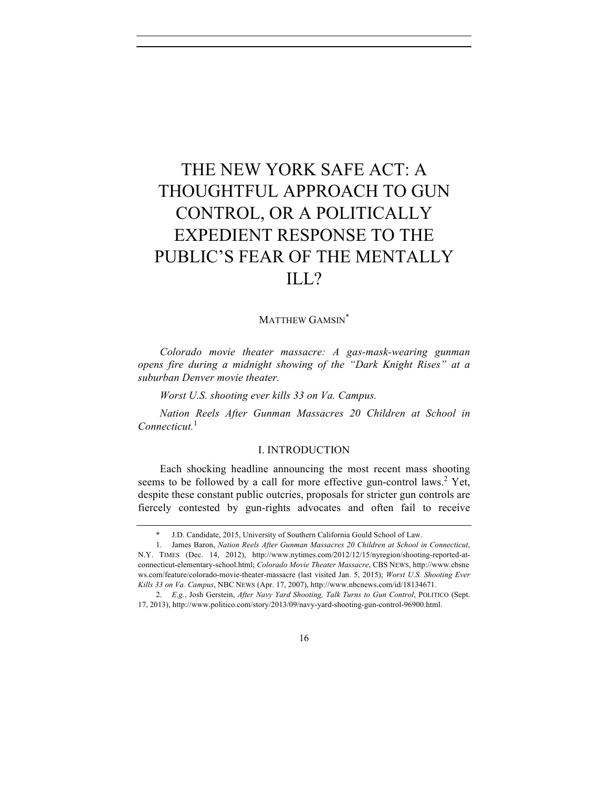# THE NEW YORK SAFE ACT: A THOUGHTFUL APPROACH TO GUN CONTROL, OR A POLITICALLY EXPEDIENT RESPONSE TO THE PUBLIC'S FEAR OF THE MENTALLY ILL?

## MATTHEW GAMSIN\*

*Colorado movie theater massacre: A gas-mask-wearing gunman opens fire during a midnight showing of the "Dark Knight Rises" at a suburban Denver movie theater.* 

*Worst U.S. shooting ever kills 33 on Va. Campus.*

*Nation Reels After Gunman Massacres 20 Children at School in Connecticut.*<sup>1</sup>

# I. INTRODUCTION

Each shocking headline announcing the most recent mass shooting seems to be followed by a call for more effective gun-control laws.<sup>2</sup> Yet, despite these constant public outcries, proposals for stricter gun controls are fiercely contested by gun-rights advocates and often fail to receive

 <sup>\*</sup> J.D. Candidate, 2015, University of Southern California Gould School of Law.

<sup>1.</sup> James Baron, *Nation Reels After Gunman Massacres 20 Children at School in Connecticut*, N.Y. TIMES (Dec. 14, 2012), http://www.nytimes.com/2012/12/15/nyregion/shooting-reported-atconnecticut-elementary-school.html; *Colorado Movie Theater Massacre*, CBS NEWS, http://www.cbsne ws.com/feature/colorado-movie-theater-massacre (last visited Jan. 5, 2015); *Worst U.S. Shooting Ever Kills 33 on Va. Campus*, NBC NEWS (Apr. 17, 2007), http://www.nbcnews.com/id/18134671.

<sup>2.</sup> *E.g.*, Josh Gerstein, *After Navy Yard Shooting, Talk Turns to Gun Control*, POLITICO (Sept. 17, 2013), http://www.politico.com/story/2013/09/navy-yard-shooting-gun-control-96900.html.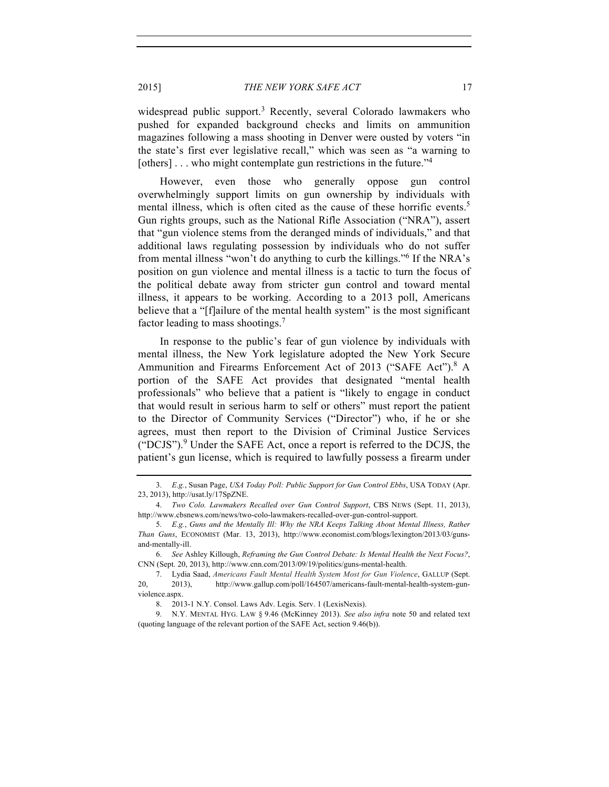widespread public support.<sup>3</sup> Recently, several Colorado lawmakers who pushed for expanded background checks and limits on ammunition magazines following a mass shooting in Denver were ousted by voters "in the state's first ever legislative recall," which was seen as "a warning to [others]... who might contemplate gun restrictions in the future.<sup>34</sup>

However, even those who generally oppose gun control overwhelmingly support limits on gun ownership by individuals with mental illness, which is often cited as the cause of these horrific events.<sup>5</sup> Gun rights groups, such as the National Rifle Association ("NRA"), assert that "gun violence stems from the deranged minds of individuals," and that additional laws regulating possession by individuals who do not suffer from mental illness "won't do anything to curb the killings."6 If the NRA's position on gun violence and mental illness is a tactic to turn the focus of the political debate away from stricter gun control and toward mental illness, it appears to be working. According to a 2013 poll, Americans believe that a "[f]ailure of the mental health system" is the most significant factor leading to mass shootings.7

In response to the public's fear of gun violence by individuals with mental illness, the New York legislature adopted the New York Secure Ammunition and Firearms Enforcement Act of 2013 ("SAFE Act").<sup>8</sup> A portion of the SAFE Act provides that designated "mental health professionals" who believe that a patient is "likely to engage in conduct that would result in serious harm to self or others" must report the patient to the Director of Community Services ("Director") who, if he or she agrees, must then report to the Division of Criminal Justice Services ("DCJS").<sup>9</sup> Under the SAFE Act, once a report is referred to the DCJS, the patient's gun license, which is required to lawfully possess a firearm under

<sup>3.</sup> *E.g.*, Susan Page, *USA Today Poll: Public Support for Gun Control Ebbs*, USA TODAY (Apr. 23, 2013), http://usat.ly/17SpZNE.

<sup>4.</sup> *Two Colo. Lawmakers Recalled over Gun Control Support*, CBS NEWS (Sept. 11, 2013), http://www.cbsnews.com/news/two-colo-lawmakers-recalled-over-gun-control-support.

<sup>5.</sup> *E.g.*, *Guns and the Mentally Ill: Why the NRA Keeps Talking About Mental Illness, Rather Than Guns*, ECONOMIST (Mar. 13, 2013), http://www.economist.com/blogs/lexington/2013/03/gunsand-mentally-ill.

<sup>6.</sup> *See* Ashley Killough, *Reframing the Gun Control Debate: Is Mental Health the Next Focus?*, CNN (Sept. 20, 2013), http://www.cnn.com/2013/09/19/politics/guns-mental-health.

<sup>7.</sup> Lydia Saad, *Americans Fault Mental Health System Most for Gun Violence*, GALLUP (Sept. 20, 2013), http://www.gallup.com/poll/164507/americans-fault-mental-health-system-gunviolence.aspx.

<sup>8.</sup> 2013-1 N.Y. Consol. Laws Adv. Legis. Serv. 1 (LexisNexis).

<sup>9.</sup> N.Y. MENTAL HYG. LAW § 9.46 (McKinney 2013). *See also infra* note 50 and related text (quoting language of the relevant portion of the SAFE Act, section 9.46(b)).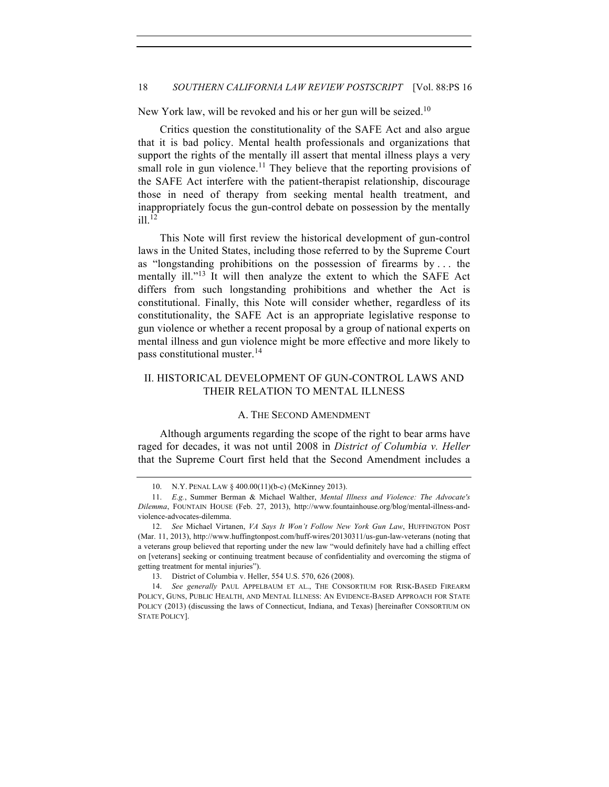New York law, will be revoked and his or her gun will be seized.<sup>10</sup>

Critics question the constitutionality of the SAFE Act and also argue that it is bad policy. Mental health professionals and organizations that support the rights of the mentally ill assert that mental illness plays a very small role in gun violence.<sup>11</sup> They believe that the reporting provisions of the SAFE Act interfere with the patient-therapist relationship, discourage those in need of therapy from seeking mental health treatment, and inappropriately focus the gun-control debate on possession by the mentally  $i$ ll.<sup>12</sup>

This Note will first review the historical development of gun-control laws in the United States, including those referred to by the Supreme Court as "longstanding prohibitions on the possession of firearms by . . . the mentally ill."<sup>13</sup> It will then analyze the extent to which the SAFE Act differs from such longstanding prohibitions and whether the Act is constitutional. Finally, this Note will consider whether, regardless of its constitutionality, the SAFE Act is an appropriate legislative response to gun violence or whether a recent proposal by a group of national experts on mental illness and gun violence might be more effective and more likely to pass constitutional muster.<sup>14</sup>

# II. HISTORICAL DEVELOPMENT OF GUN-CONTROL LAWS AND THEIR RELATION TO MENTAL ILLNESS

#### A. THE SECOND AMENDMENT

Although arguments regarding the scope of the right to bear arms have raged for decades, it was not until 2008 in *District of Columbia v. Heller* that the Supreme Court first held that the Second Amendment includes a

<sup>10.</sup> N.Y. PENAL LAW § 400.00(11)(b-c) (McKinney 2013).

<sup>11.</sup> *E.g.*, Summer Berman & Michael Walther, *Mental Illness and Violence: The Advocate's Dilemma*, FOUNTAIN HOUSE (Feb. 27, 2013), http://www.fountainhouse.org/blog/mental-illness-andviolence-advocates-dilemma.

<sup>12.</sup> *See* Michael Virtanen, *VA Says It Won't Follow New York Gun Law*, HUFFINGTON POST (Mar. 11, 2013), http://www.huffingtonpost.com/huff-wires/20130311/us-gun-law-veterans (noting that a veterans group believed that reporting under the new law "would definitely have had a chilling effect on [veterans] seeking or continuing treatment because of confidentiality and overcoming the stigma of getting treatment for mental injuries").

<sup>13.</sup> District of Columbia v. Heller, 554 U.S. 570, 626 (2008).

<sup>14.</sup> *See generally* PAUL APPELBAUM ET AL., THE CONSORTIUM FOR RISK-BASED FIREARM POLICY, GUNS, PUBLIC HEALTH, AND MENTAL ILLNESS: AN EVIDENCE-BASED APPROACH FOR STATE POLICY (2013) (discussing the laws of Connecticut, Indiana, and Texas) [hereinafter CONSORTIUM ON STATE POLICY].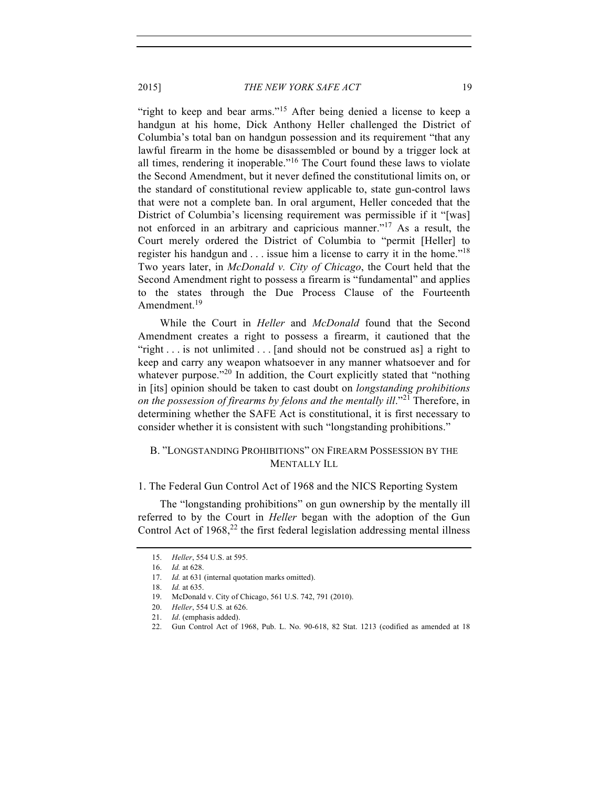"right to keep and bear arms."<sup>15</sup> After being denied a license to keep a handgun at his home, Dick Anthony Heller challenged the District of Columbia's total ban on handgun possession and its requirement "that any lawful firearm in the home be disassembled or bound by a trigger lock at all times, rendering it inoperable."<sup>16</sup> The Court found these laws to violate the Second Amendment, but it never defined the constitutional limits on, or the standard of constitutional review applicable to, state gun-control laws that were not a complete ban. In oral argument, Heller conceded that the District of Columbia's licensing requirement was permissible if it "[was] not enforced in an arbitrary and capricious manner."17 As a result, the Court merely ordered the District of Columbia to "permit [Heller] to register his handgun and  $\ldots$  issue him a license to carry it in the home."<sup>18</sup> Two years later, in *McDonald v. City of Chicago*, the Court held that the Second Amendment right to possess a firearm is "fundamental" and applies to the states through the Due Process Clause of the Fourteenth Amendment.<sup>19</sup>

While the Court in *Heller* and *McDonald* found that the Second Amendment creates a right to possess a firearm, it cautioned that the "right . . . is not unlimited . . . [and should not be construed as] a right to keep and carry any weapon whatsoever in any manner whatsoever and for whatever purpose. $^{220}$  In addition, the Court explicitly stated that "nothing" in [its] opinion should be taken to cast doubt on *longstanding prohibitions on the possession of firearms by felons and the mentally ill.*"<sup>21</sup> Therefore, in determining whether the SAFE Act is constitutional, it is first necessary to consider whether it is consistent with such "longstanding prohibitions."

# B. "LONGSTANDING PROHIBITIONS" ON FIREARM POSSESSION BY THE MENTALLY ILL

## 1. The Federal Gun Control Act of 1968 and the NICS Reporting System

The "longstanding prohibitions" on gun ownership by the mentally ill referred to by the Court in *Heller* began with the adoption of the Gun Control Act of  $1968$ ,<sup>22</sup> the first federal legislation addressing mental illness

<sup>15.</sup> *Heller*, 554 U.S. at 595.

<sup>16.</sup> *Id.* at 628.

<sup>17.</sup> *Id.* at 631 (internal quotation marks omitted).

<sup>18.</sup> *Id.* at 635.

<sup>19.</sup> McDonald v. City of Chicago, 561 U.S. 742, 791 (2010).

<sup>20.</sup> *Heller*, 554 U.S*.* at 626.

<sup>21.</sup> *Id*. (emphasis added).

<sup>22.</sup> Gun Control Act of 1968, Pub. L. No. 90-618, 82 Stat. 1213 (codified as amended at 18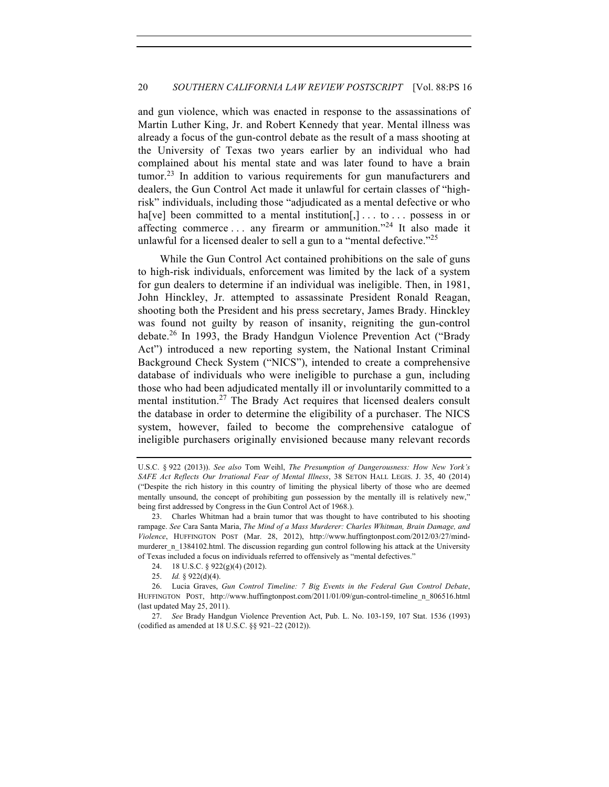## 20 *SOUTHERN CALIFORNIA LAW REVIEW POSTSCRIPT* [Vol. 88:PS 16

and gun violence, which was enacted in response to the assassinations of Martin Luther King, Jr. and Robert Kennedy that year. Mental illness was already a focus of the gun-control debate as the result of a mass shooting at the University of Texas two years earlier by an individual who had complained about his mental state and was later found to have a brain tumor.<sup>23</sup> In addition to various requirements for gun manufacturers and dealers, the Gun Control Act made it unlawful for certain classes of "highrisk" individuals, including those "adjudicated as a mental defective or who ha[ve] been committed to a mental institution $[$ ,  $]$ ... to ... possess in or affecting commerce  $\dots$  any firearm or ammunition."<sup>24</sup> It also made it unlawful for a licensed dealer to sell a gun to a "mental defective."<sup>25</sup>

While the Gun Control Act contained prohibitions on the sale of guns to high-risk individuals, enforcement was limited by the lack of a system for gun dealers to determine if an individual was ineligible. Then, in 1981, John Hinckley, Jr. attempted to assassinate President Ronald Reagan, shooting both the President and his press secretary, James Brady. Hinckley was found not guilty by reason of insanity, reigniting the gun-control debate.<sup>26</sup> In 1993, the Brady Handgun Violence Prevention Act ("Brady Act") introduced a new reporting system, the National Instant Criminal Background Check System ("NICS"), intended to create a comprehensive database of individuals who were ineligible to purchase a gun, including those who had been adjudicated mentally ill or involuntarily committed to a mental institution.<sup>27</sup> The Brady Act requires that licensed dealers consult the database in order to determine the eligibility of a purchaser. The NICS system, however, failed to become the comprehensive catalogue of ineligible purchasers originally envisioned because many relevant records

U.S.C. § 922 (2013)). *See also* Tom Weihl, *The Presumption of Dangerousness: How New York's SAFE Act Reflects Our Irrational Fear of Mental Illness*, 38 SETON HALL LEGIS. J. 35, 40 (2014) ("Despite the rich history in this country of limiting the physical liberty of those who are deemed mentally unsound, the concept of prohibiting gun possession by the mentally ill is relatively new," being first addressed by Congress in the Gun Control Act of 1968.).

<sup>23.</sup> Charles Whitman had a brain tumor that was thought to have contributed to his shooting rampage. *See* Cara Santa Maria, *The Mind of a Mass Murderer: Charles Whitman, Brain Damage, and Violence*, HUFFINGTON POST (Mar. 28, 2012), http://www.huffingtonpost.com/2012/03/27/mindmurderer\_n\_1384102.html. The discussion regarding gun control following his attack at the University of Texas included a focus on individuals referred to offensively as "mental defectives."

<sup>24.</sup> 18 U.S.C. § 922(g)(4) (2012).

<sup>25.</sup> *Id.* § 922(d)(4).

<sup>26.</sup> Lucia Graves, *Gun Control Timeline: 7 Big Events in the Federal Gun Control Debate*, HUFFINGTON POST, http://www.huffingtonpost.com/2011/01/09/gun-control-timeline\_n\_806516.html (last updated May 25, 2011).

<sup>27.</sup> *See* Brady Handgun Violence Prevention Act, Pub. L. No. 103-159, 107 Stat. 1536 (1993) (codified as amended at 18 U.S.C. §§ 921–22 (2012)).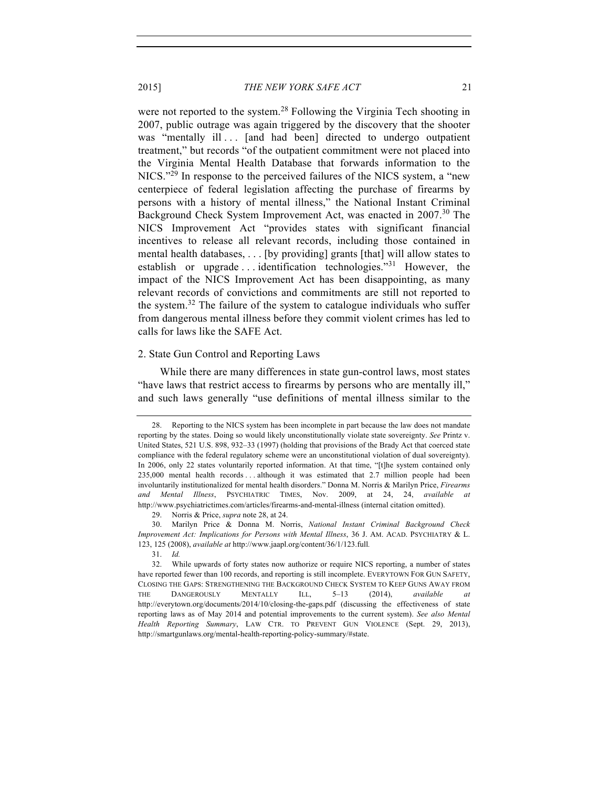were not reported to the system.<sup>28</sup> Following the Virginia Tech shooting in 2007, public outrage was again triggered by the discovery that the shooter was "mentally ill ... [and had been] directed to undergo outpatient treatment," but records "of the outpatient commitment were not placed into the Virginia Mental Health Database that forwards information to the  $NICS.^{29}$  In response to the perceived failures of the NICS system, a "new centerpiece of federal legislation affecting the purchase of firearms by persons with a history of mental illness," the National Instant Criminal Background Check System Improvement Act, was enacted in 2007.<sup>30</sup> The NICS Improvement Act "provides states with significant financial incentives to release all relevant records, including those contained in mental health databases, . . . [by providing] grants [that] will allow states to establish or upgrade ... identification technologies.<sup>"31</sup> However, the impact of the NICS Improvement Act has been disappointing, as many relevant records of convictions and commitments are still not reported to the system.<sup>32</sup> The failure of the system to catalogue individuals who suffer from dangerous mental illness before they commit violent crimes has led to calls for laws like the SAFE Act.

#### 2. State Gun Control and Reporting Laws

While there are many differences in state gun-control laws, most states "have laws that restrict access to firearms by persons who are mentally ill," and such laws generally "use definitions of mental illness similar to the

29. Norris & Price, *supra* note 28, at 24.

<sup>28.</sup> Reporting to the NICS system has been incomplete in part because the law does not mandate reporting by the states. Doing so would likely unconstitutionally violate state sovereignty. *See* Printz v. United States, 521 U.S. 898, 932–33 (1997) (holding that provisions of the Brady Act that coerced state compliance with the federal regulatory scheme were an unconstitutional violation of dual sovereignty). In 2006, only 22 states voluntarily reported information. At that time, "[t]he system contained only 235,000 mental health records ... although it was estimated that 2.7 million people had been involuntarily institutionalized for mental health disorders." Donna M. Norris & Marilyn Price, *Firearms and Mental Illness*, PSYCHIATRIC TIMES, Nov. 2009, at 24, 24, *available at* http://www.psychiatrictimes.com/articles/firearms-and-mental-illness (internal citation omitted).

<sup>30.</sup> Marilyn Price & Donna M. Norris, *National Instant Criminal Background Check Improvement Act: Implications for Persons with Mental Illness*, 36 J. AM. ACAD. PSYCHIATRY & L. 123, 125 (2008), *available at* http://www.jaapl.org/content/36/1/123.full*.*

<sup>31.</sup> *Id.*

<sup>32.</sup> While upwards of forty states now authorize or require NICS reporting, a number of states have reported fewer than 100 records, and reporting is still incomplete. EVERYTOWN FOR GUN SAFETY, CLOSING THE GAPS: STRENGTHENING THE BACKGROUND CHECK SYSTEM TO KEEP GUNS AWAY FROM THE DANGEROUSLY MENTALLY ILL, 5–13 (2014), *available at*  http://everytown.org/documents/2014/10/closing-the-gaps.pdf (discussing the effectiveness of state reporting laws as of May 2014 and potential improvements to the current system). *See also Mental Health Reporting Summary*, LAW CTR. TO PREVENT GUN VIOLENCE (Sept. 29, 2013), http://smartgunlaws.org/mental-health-reporting-policy-summary/#state.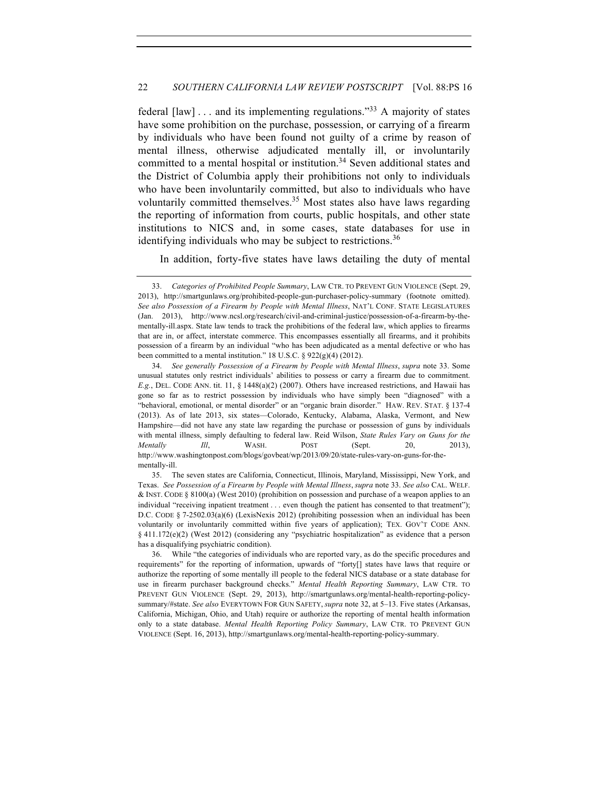federal  $\lceil \text{law} \rceil$ ... and its implementing regulations.<sup>33</sup> A majority of states have some prohibition on the purchase, possession, or carrying of a firearm by individuals who have been found not guilty of a crime by reason of mental illness, otherwise adjudicated mentally ill, or involuntarily committed to a mental hospital or institution.<sup>34</sup> Seven additional states and the District of Columbia apply their prohibitions not only to individuals who have been involuntarily committed, but also to individuals who have voluntarily committed themselves.<sup>35</sup> Most states also have laws regarding the reporting of information from courts, public hospitals, and other state institutions to NICS and, in some cases, state databases for use in identifying individuals who may be subject to restrictions.<sup>36</sup>

In addition, forty-five states have laws detailing the duty of mental

<sup>33.</sup> *Categories of Prohibited People Summary*, LAW CTR. TO PREVENT GUN VIOLENCE (Sept. 29, 2013), http://smartgunlaws.org/prohibited-people-gun-purchaser-policy-summary (footnote omitted). *See also Possession of a Firearm by People with Mental Illness*, NAT'L CONF. STATE LEGISLATURES (Jan. 2013), http://www.ncsl.org/research/civil-and-criminal-justice/possession-of-a-firearm-by-thementally-ill.aspx. State law tends to track the prohibitions of the federal law, which applies to firearms that are in, or affect, interstate commerce. This encompasses essentially all firearms, and it prohibits possession of a firearm by an individual "who has been adjudicated as a mental defective or who has been committed to a mental institution." 18 U.S.C. § 922(g)(4) (2012).

<sup>34.</sup> *See generally Possession of a Firearm by People with Mental Illness*, *supra* note 33. Some unusual statutes only restrict individuals' abilities to possess or carry a firearm due to commitment. *E.g.*, DEL. CODE ANN. tit. 11, § 1448(a)(2) (2007). Others have increased restrictions, and Hawaii has gone so far as to restrict possession by individuals who have simply been "diagnosed" with a "behavioral, emotional, or mental disorder" or an "organic brain disorder." HAW. REV. STAT. § 137-4 (2013). As of late 2013, six states—Colorado, Kentucky, Alabama, Alaska, Vermont, and New Hampshire—did not have any state law regarding the purchase or possession of guns by individuals with mental illness, simply defaulting to federal law. Reid Wilson, *State Rules Vary on Guns for the Mentally III*, WASH. POST (Sept. 20, 2013), http://www.washingtonpost.com/blogs/govbeat/wp/2013/09/20/state-rules-vary-on-guns-for-thementally-ill.

<sup>35.</sup> The seven states are California, Connecticut, Illinois, Maryland, Mississippi, New York, and Texas. *See Possession of a Firearm by People with Mental Illness*, *supra* note 33. *See also* CAL. WELF. & INST. CODE § 8100(a) (West 2010) (prohibition on possession and purchase of a weapon applies to an individual "receiving inpatient treatment . . . even though the patient has consented to that treatment"); D.C. CODE § 7-2502.03(a)(6) (LexisNexis 2012) (prohibiting possession when an individual has been voluntarily or involuntarily committed within five years of application); TEX. GOV'T CODE ANN. § 411.172(e)(2) (West 2012) (considering any "psychiatric hospitalization" as evidence that a person has a disqualifying psychiatric condition).

<sup>36.</sup> While "the categories of individuals who are reported vary, as do the specific procedures and requirements" for the reporting of information, upwards of "forty[] states have laws that require or authorize the reporting of some mentally ill people to the federal NICS database or a state database for use in firearm purchaser background checks." *Mental Health Reporting Summary*, LAW CTR. TO PREVENT GUN VIOLENCE (Sept. 29, 2013), http://smartgunlaws.org/mental-health-reporting-policysummary/#state. *See also* EVERYTOWN FOR GUN SAFETY, *supra* note 32, at 5–13. Five states (Arkansas, California, Michigan, Ohio, and Utah) require or authorize the reporting of mental health information only to a state database. *Mental Health Reporting Policy Summary*, LAW CTR. TO PREVENT GUN VIOLENCE (Sept. 16, 2013), http://smartgunlaws.org/mental-health-reporting-policy-summary.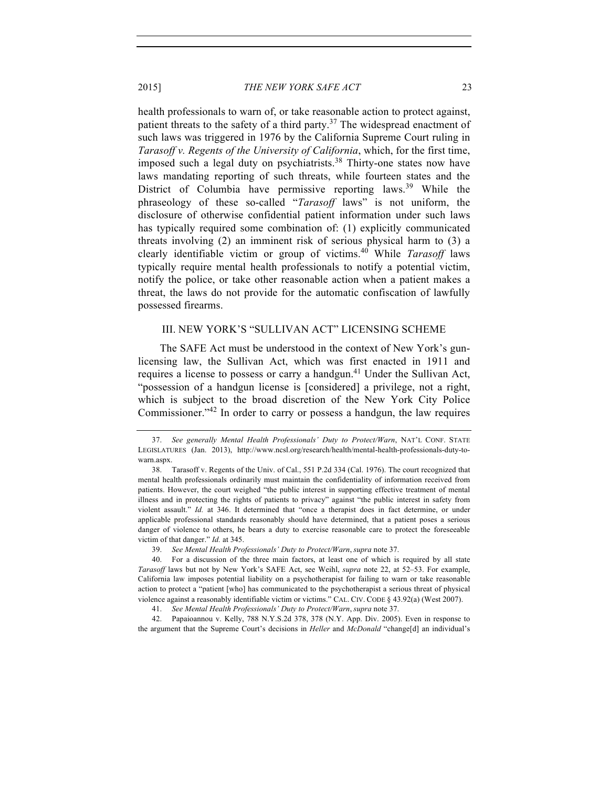health professionals to warn of, or take reasonable action to protect against, patient threats to the safety of a third party.<sup>37</sup> The widespread enactment of such laws was triggered in 1976 by the California Supreme Court ruling in *Tarasoff v. Regents of the University of California*, which, for the first time, imposed such a legal duty on psychiatrists.<sup>38</sup> Thirty-one states now have laws mandating reporting of such threats, while fourteen states and the District of Columbia have permissive reporting laws.<sup>39</sup> While the phraseology of these so-called "*Tarasoff* laws" is not uniform, the disclosure of otherwise confidential patient information under such laws has typically required some combination of: (1) explicitly communicated threats involving (2) an imminent risk of serious physical harm to (3) a clearly identifiable victim or group of victims.<sup>40</sup> While *Tarasoff* laws typically require mental health professionals to notify a potential victim, notify the police, or take other reasonable action when a patient makes a threat, the laws do not provide for the automatic confiscation of lawfully possessed firearms.

# III. NEW YORK'S "SULLIVAN ACT" LICENSING SCHEME

The SAFE Act must be understood in the context of New York's gunlicensing law, the Sullivan Act, which was first enacted in 1911 and requires a license to possess or carry a handgun.<sup>41</sup> Under the Sullivan Act, "possession of a handgun license is [considered] a privilege, not a right, which is subject to the broad discretion of the New York City Police Commissioner."<sup>42</sup> In order to carry or possess a handgun, the law requires

42. Papaioannou v. Kelly, 788 N.Y.S.2d 378, 378 (N.Y. App. Div. 2005). Even in response to the argument that the Supreme Court's decisions in *Heller* and *McDonald* "change[d] an individual's

<sup>37.</sup> *See generally Mental Health Professionals' Duty to Protect/Warn*, NAT'L CONF. STATE LEGISLATURES (Jan. 2013), http://www.ncsl.org/research/health/mental-health-professionals-duty-towarn.aspx.

<sup>38.</sup> Tarasoff v. Regents of the Univ. of Cal., 551 P.2d 334 (Cal. 1976). The court recognized that mental health professionals ordinarily must maintain the confidentiality of information received from patients. However, the court weighed "the public interest in supporting effective treatment of mental illness and in protecting the rights of patients to privacy" against "the public interest in safety from violent assault." *Id.* at 346. It determined that "once a therapist does in fact determine, or under applicable professional standards reasonably should have determined, that a patient poses a serious danger of violence to others, he bears a duty to exercise reasonable care to protect the foreseeable victim of that danger." *Id.* at 345.

<sup>39.</sup> *See Mental Health Professionals' Duty to Protect/Warn*, *supra* note 37.

<sup>40.</sup> For a discussion of the three main factors, at least one of which is required by all state *Tarasoff* laws but not by New York's SAFE Act, see Weihl, *supra* note 22, at 52–53. For example, California law imposes potential liability on a psychotherapist for failing to warn or take reasonable action to protect a "patient [who] has communicated to the psychotherapist a serious threat of physical violence against a reasonably identifiable victim or victims." CAL. CIV. CODE § 43.92(a) (West 2007).

<sup>41.</sup> *See Mental Health Professionals' Duty to Protect/Warn*, *supra* note 37.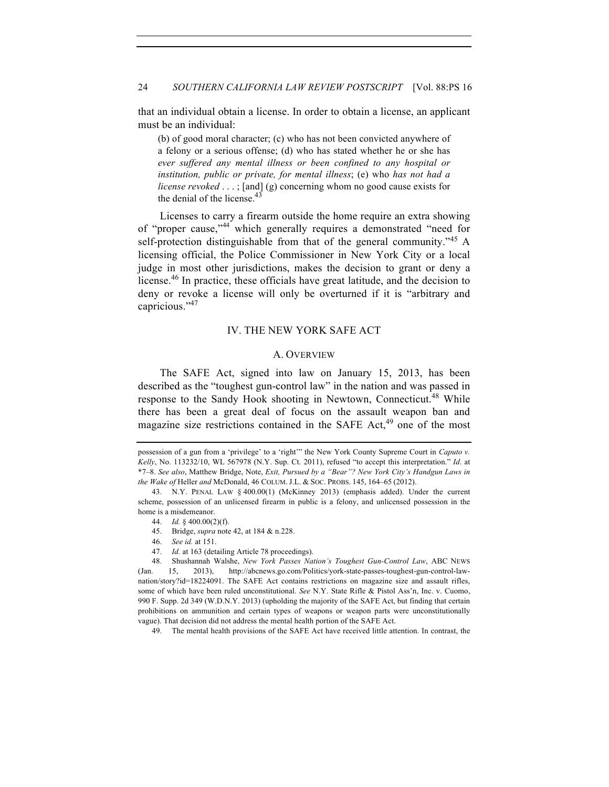# 24 *SOUTHERN CALIFORNIA LAW REVIEW POSTSCRIPT* [Vol. 88:PS 16

that an individual obtain a license. In order to obtain a license, an applicant must be an individual:

(b) of good moral character; (c) who has not been convicted anywhere of a felony or a serious offense; (d) who has stated whether he or she has *ever suffered any mental illness or been confined to any hospital or institution, public or private, for mental illness*; (e) who *has not had a license revoked* . . . ; [and] (g) concerning whom no good cause exists for the denial of the license. $43$ 

Licenses to carry a firearm outside the home require an extra showing of "proper cause,"<sup>44</sup> which generally requires a demonstrated "need for self-protection distinguishable from that of the general community."<sup>45</sup> A licensing official, the Police Commissioner in New York City or a local judge in most other jurisdictions, makes the decision to grant or deny a license.<sup>46</sup> In practice, these officials have great latitude, and the decision to deny or revoke a license will only be overturned if it is "arbitrary and capricious."<sup>47</sup>

# IV. THE NEW YORK SAFE ACT

## A. OVERVIEW

The SAFE Act, signed into law on January 15, 2013, has been described as the "toughest gun-control law" in the nation and was passed in response to the Sandy Hook shooting in Newtown, Connecticut.<sup>48</sup> While there has been a great deal of focus on the assault weapon ban and magazine size restrictions contained in the SAFE  $Act<sub>1</sub><sup>49</sup>$  one of the most

49. The mental health provisions of the SAFE Act have received little attention. In contrast, the

possession of a gun from a 'privilege' to a 'right'" the New York County Supreme Court in *Caputo v. Kelly*, No. 113232/10, WL 567978 (N.Y. Sup. Ct. 2011), refused "to accept this interpretation." *Id*. at \*7–8. *See also*, Matthew Bridge, Note, *Exit, Pursued by a "Bear"? New York City's Handgun Laws in the Wake of* Heller *and* McDonald, 46 COLUM. J.L. & SOC. PROBS. 145, 164–65 (2012).

<sup>43.</sup> N.Y. PENAL LAW § 400.00(1) (McKinney 2013) (emphasis added). Under the current scheme, possession of an unlicensed firearm in public is a felony, and unlicensed possession in the home is a misdemeanor.

<sup>44.</sup> *Id.* § 400.00(2)(f).

<sup>45.</sup> Bridge, *supra* note 42, at 184 & n.228.

<sup>46.</sup> *See id.* at 151.

<sup>47.</sup> *Id.* at 163 (detailing Article 78 proceedings).

<sup>48.</sup> Shushannah Walshe, *New York Passes Nation's Toughest Gun-Control Law*, ABC NEWS (Jan. 15, 2013), http://abcnews.go.com/Politics/york-state-passes-toughest-gun-control-lawnation/story?id=18224091. The SAFE Act contains restrictions on magazine size and assault rifles, some of which have been ruled unconstitutional. *See* N.Y. State Rifle & Pistol Ass'n, Inc. v. Cuomo, 990 F. Supp. 2d 349 (W.D.N.Y. 2013) (upholding the majority of the SAFE Act, but finding that certain prohibitions on ammunition and certain types of weapons or weapon parts were unconstitutionally vague). That decision did not address the mental health portion of the SAFE Act.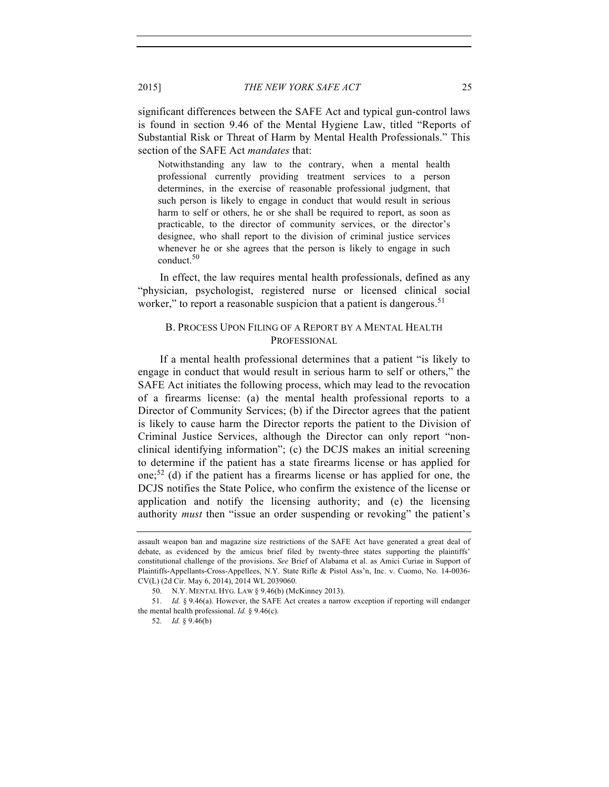significant differences between the SAFE Act and typical gun-control laws is found in section 9.46 of the Mental Hygiene Law, titled "Reports of Substantial Risk or Threat of Harm by Mental Health Professionals." This section of the SAFE Act *mandates* that:

Notwithstanding any law to the contrary, when a mental health professional currently providing treatment services to a person determines, in the exercise of reasonable professional judgment, that such person is likely to engage in conduct that would result in serious harm to self or others, he or she shall be required to report, as soon as practicable, to the director of community services, or the director's designee, who shall report to the division of criminal justice services whenever he or she agrees that the person is likely to engage in such conduct.<sup>50</sup>

In effect, the law requires mental health professionals, defined as any "physician, psychologist, registered nurse or licensed clinical social worker," to report a reasonable suspicion that a patient is dangerous.<sup>51</sup>

# B. PROCESS UPON FILING OF A REPORT BY A MENTAL HEALTH PROFESSIONAL

If a mental health professional determines that a patient "is likely to engage in conduct that would result in serious harm to self or others," the SAFE Act initiates the following process, which may lead to the revocation of a firearms license: (a) the mental health professional reports to a Director of Community Services; (b) if the Director agrees that the patient is likely to cause harm the Director reports the patient to the Division of Criminal Justice Services, although the Director can only report "nonclinical identifying information"; (c) the DCJS makes an initial screening to determine if the patient has a state firearms license or has applied for one;<sup>52</sup> (d) if the patient has a firearms license or has applied for one, the DCJS notifies the State Police, who confirm the existence of the license or application and notify the licensing authority; and (e) the licensing authority *must* then "issue an order suspending or revoking" the patient's

assault weapon ban and magazine size restrictions of the SAFE Act have generated a great deal of debate, as evidenced by the amicus brief filed by twenty-three states supporting the plaintiffs' constitutional challenge of the provisions. *See* Brief of Alabama et al. as Amici Curiae in Support of Plaintiffs-Appellants-Cross-Appellees, N.Y. State Rifle & Pistol Ass'n, Inc. v. Cuomo, No. 14-0036- CV(L) (2d Cir. May 6, 2014), 2014 WL 2039060.

<sup>50.</sup> N.Y. MENTAL HYG. LAW § 9.46(b) (McKinney 2013).

<sup>51.</sup> *Id.* § 9.46(a). However, the SAFE Act creates a narrow exception if reporting will endanger the mental health professional. *Id.* § 9.46(c).

<sup>52.</sup> *Id.* § 9.46(b)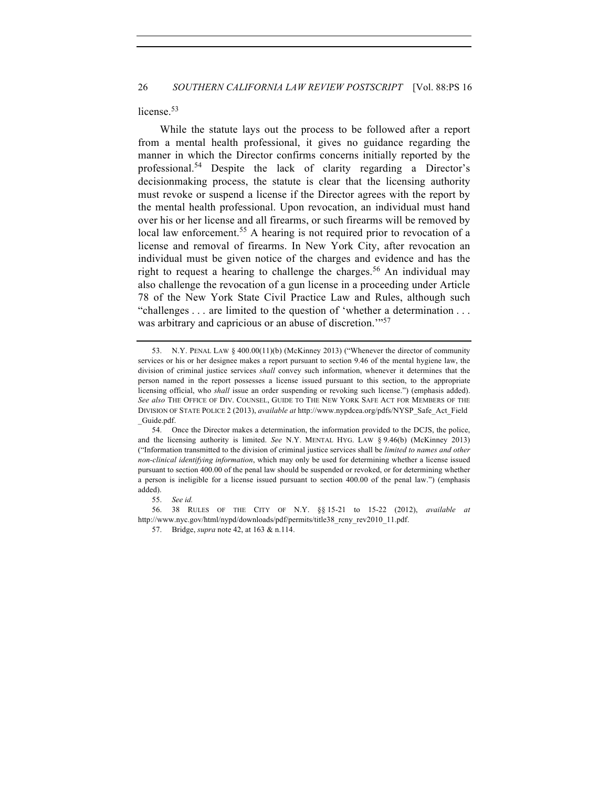license.<sup>53</sup>

While the statute lays out the process to be followed after a report from a mental health professional, it gives no guidance regarding the manner in which the Director confirms concerns initially reported by the professional.<sup>54</sup> Despite the lack of clarity regarding a Director's decisionmaking process, the statute is clear that the licensing authority must revoke or suspend a license if the Director agrees with the report by the mental health professional. Upon revocation, an individual must hand over his or her license and all firearms, or such firearms will be removed by local law enforcement.<sup>55</sup> A hearing is not required prior to revocation of a license and removal of firearms. In New York City, after revocation an individual must be given notice of the charges and evidence and has the right to request a hearing to challenge the charges.<sup>56</sup> An individual may also challenge the revocation of a gun license in a proceeding under Article 78 of the New York State Civil Practice Law and Rules, although such "challenges . . . are limited to the question of 'whether a determination . . . was arbitrary and capricious or an abuse of discretion.<sup>"57</sup>

56. 38 RULES OF THE CITY OF N.Y. §§ 15-21 to 15-22 (2012), *available at* http://www.nyc.gov/html/nypd/downloads/pdf/permits/title38\_rcny\_rev2010\_11.pdf.

57. Bridge, *supra* note 42, at 163 & n.114.

<sup>53.</sup> N.Y. PENAL LAW § 400.00(11)(b) (McKinney 2013) ("Whenever the director of community services or his or her designee makes a report pursuant to section 9.46 of the mental hygiene law, the division of criminal justice services *shall* convey such information, whenever it determines that the person named in the report possesses a license issued pursuant to this section, to the appropriate licensing official, who *shall* issue an order suspending or revoking such license.") (emphasis added). *See also* THE OFFICE OF DIV. COUNSEL, GUIDE TO THE NEW YORK SAFE ACT FOR MEMBERS OF THE DIVISION OF STATE POLICE 2 (2013), *available at* http://www.nypdcea.org/pdfs/NYSP\_Safe\_Act\_Field \_Guide.pdf.

<sup>54.</sup> Once the Director makes a determination, the information provided to the DCJS, the police, and the licensing authority is limited. *See* N.Y. MENTAL HYG. LAW § 9.46(b) (McKinney 2013) ("Information transmitted to the division of criminal justice services shall be *limited to names and other non-clinical identifying information*, which may only be used for determining whether a license issued pursuant to section 400.00 of the penal law should be suspended or revoked, or for determining whether a person is ineligible for a license issued pursuant to section 400.00 of the penal law.") (emphasis added).

<sup>55.</sup> *See id.*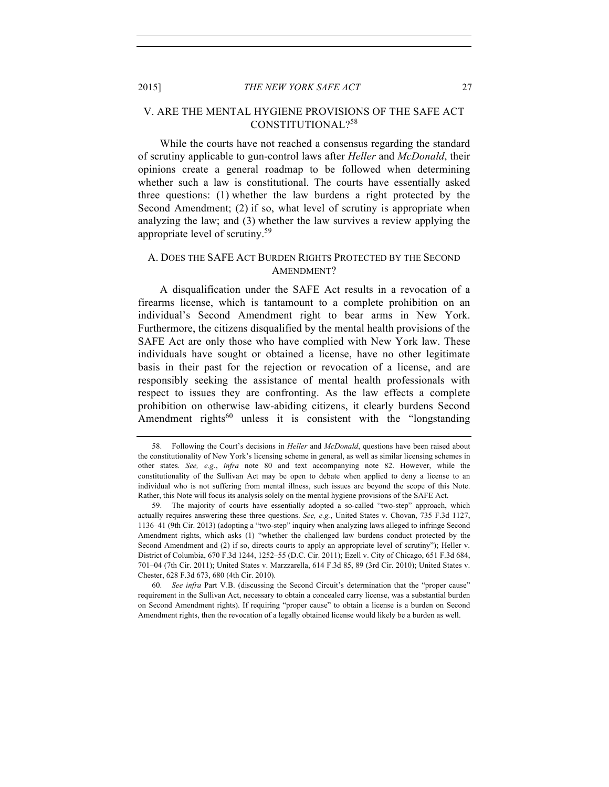# V. ARE THE MENTAL HYGIENE PROVISIONS OF THE SAFE ACT CONSTITUTIONAL?<sup>58</sup>

While the courts have not reached a consensus regarding the standard of scrutiny applicable to gun-control laws after *Heller* and *McDonald*, their opinions create a general roadmap to be followed when determining whether such a law is constitutional. The courts have essentially asked three questions: (1) whether the law burdens a right protected by the Second Amendment; (2) if so, what level of scrutiny is appropriate when analyzing the law; and (3) whether the law survives a review applying the appropriate level of scrutiny.59

# A. DOES THE SAFE ACT BURDEN RIGHTS PROTECTED BY THE SECOND AMENDMENT?

A disqualification under the SAFE Act results in a revocation of a firearms license, which is tantamount to a complete prohibition on an individual's Second Amendment right to bear arms in New York. Furthermore, the citizens disqualified by the mental health provisions of the SAFE Act are only those who have complied with New York law. These individuals have sought or obtained a license, have no other legitimate basis in their past for the rejection or revocation of a license, and are responsibly seeking the assistance of mental health professionals with respect to issues they are confronting. As the law effects a complete prohibition on otherwise law-abiding citizens, it clearly burdens Second Amendment rights<sup>60</sup> unless it is consistent with the "longstanding"

<sup>58.</sup> Following the Court's decisions in *Heller* and *McDonald*, questions have been raised about the constitutionality of New York's licensing scheme in general, as well as similar licensing schemes in other states. *See, e.g.*, *infra* note 80 and text accompanying note 82. However, while the constitutionality of the Sullivan Act may be open to debate when applied to deny a license to an individual who is not suffering from mental illness, such issues are beyond the scope of this Note. Rather, this Note will focus its analysis solely on the mental hygiene provisions of the SAFE Act.

<sup>59.</sup> The majority of courts have essentially adopted a so-called "two-step" approach, which actually requires answering these three questions. *See, e.g.*, United States v. Chovan, 735 F.3d 1127, 1136–41 (9th Cir. 2013) (adopting a "two-step" inquiry when analyzing laws alleged to infringe Second Amendment rights, which asks (1) "whether the challenged law burdens conduct protected by the Second Amendment and (2) if so, directs courts to apply an appropriate level of scrutiny"); Heller v. District of Columbia, 670 F.3d 1244, 1252–55 (D.C. Cir. 2011); Ezell v. City of Chicago, 651 F.3d 684, 701–04 (7th Cir. 2011); United States v. Marzzarella, 614 F.3d 85, 89 (3rd Cir. 2010); United States v. Chester, 628 F.3d 673, 680 (4th Cir. 2010).

<sup>60.</sup> *See infra* Part V.B. (discussing the Second Circuit's determination that the "proper cause" requirement in the Sullivan Act, necessary to obtain a concealed carry license, was a substantial burden on Second Amendment rights). If requiring "proper cause" to obtain a license is a burden on Second Amendment rights, then the revocation of a legally obtained license would likely be a burden as well.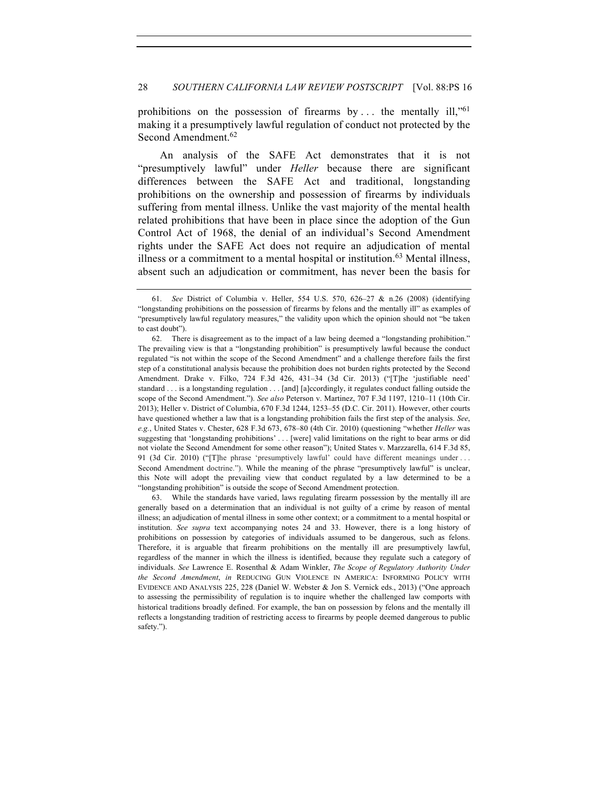prohibitions on the possession of firearms by  $\dots$  the mentally ill,"<sup>61</sup> making it a presumptively lawful regulation of conduct not protected by the Second Amendment.<sup>62</sup>

An analysis of the SAFE Act demonstrates that it is not "presumptively lawful" under *Heller* because there are significant differences between the SAFE Act and traditional, longstanding prohibitions on the ownership and possession of firearms by individuals suffering from mental illness. Unlike the vast majority of the mental health related prohibitions that have been in place since the adoption of the Gun Control Act of 1968, the denial of an individual's Second Amendment rights under the SAFE Act does not require an adjudication of mental illness or a commitment to a mental hospital or institution. <sup>63</sup> Mental illness, absent such an adjudication or commitment, has never been the basis for

63. While the standards have varied, laws regulating firearm possession by the mentally ill are generally based on a determination that an individual is not guilty of a crime by reason of mental illness; an adjudication of mental illness in some other context; or a commitment to a mental hospital or institution. *See supra* text accompanying notes 24 and 33. However, there is a long history of prohibitions on possession by categories of individuals assumed to be dangerous, such as felons. Therefore, it is arguable that firearm prohibitions on the mentally ill are presumptively lawful, regardless of the manner in which the illness is identified, because they regulate such a category of individuals. *See* Lawrence E. Rosenthal & Adam Winkler, *The Scope of Regulatory Authority Under the Second Amendment*, *in* REDUCING GUN VIOLENCE IN AMERICA: INFORMING POLICY WITH EVIDENCE AND ANALYSIS 225, 228 (Daniel W. Webster & Jon S. Vernick eds., 2013) ("One approach to assessing the permissibility of regulation is to inquire whether the challenged law comports with historical traditions broadly defined. For example, the ban on possession by felons and the mentally ill reflects a longstanding tradition of restricting access to firearms by people deemed dangerous to public safety.").

<sup>61.</sup> *See* District of Columbia v. Heller, 554 U.S. 570, 626–27 & n.26 (2008) (identifying "longstanding prohibitions on the possession of firearms by felons and the mentally ill" as examples of "presumptively lawful regulatory measures," the validity upon which the opinion should not "be taken to cast doubt").

<sup>62.</sup> There is disagreement as to the impact of a law being deemed a "longstanding prohibition." The prevailing view is that a "longstanding prohibition" is presumptively lawful because the conduct regulated "is not within the scope of the Second Amendment" and a challenge therefore fails the first step of a constitutional analysis because the prohibition does not burden rights protected by the Second Amendment. Drake v. Filko, 724 F.3d 426, 431–34 (3d Cir. 2013) ("[T]he 'justifiable need' standard . . . is a longstanding regulation . . . [and] [a]ccordingly, it regulates conduct falling outside the scope of the Second Amendment."). *See also* Peterson v. Martinez, 707 F.3d 1197, 1210–11 (10th Cir. 2013); Heller v. District of Columbia, 670 F.3d 1244, 1253–55 (D.C. Cir. 2011). However, other courts have questioned whether a law that is a longstanding prohibition fails the first step of the analysis. *See*, *e.g.*, United States v. Chester, 628 F.3d 673, 678–80 (4th Cir. 2010) (questioning "whether *Heller* was suggesting that 'longstanding prohibitions' . . . [were] valid limitations on the right to bear arms or did not violate the Second Amendment for some other reason"); United States v. Marzzarella, 614 F.3d 85, 91 (3d Cir. 2010) ("[T]he phrase 'presumptively lawful' could have different meanings under . . . Second Amendment doctrine."). While the meaning of the phrase "presumptively lawful" is unclear, this Note will adopt the prevailing view that conduct regulated by a law determined to be a "longstanding prohibition" is outside the scope of Second Amendment protection.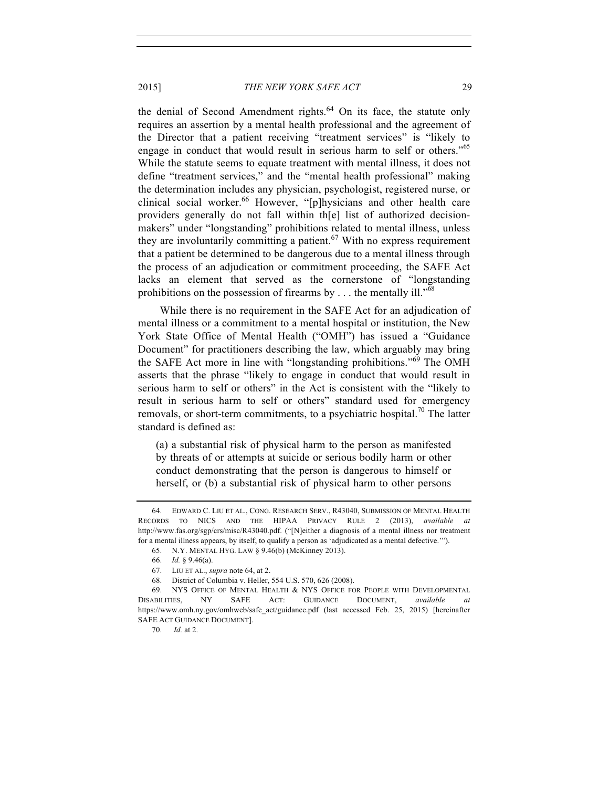the denial of Second Amendment rights.<sup>64</sup> On its face, the statute only requires an assertion by a mental health professional and the agreement of the Director that a patient receiving "treatment services" is "likely to engage in conduct that would result in serious harm to self or others."<sup>65</sup> While the statute seems to equate treatment with mental illness, it does not define "treatment services," and the "mental health professional" making the determination includes any physician, psychologist, registered nurse, or clinical social worker.<sup>66</sup> However, "[p]hysicians and other health care providers generally do not fall within th[e] list of authorized decisionmakers" under "longstanding" prohibitions related to mental illness, unless they are involuntarily committing a patient. $67$  With no express requirement that a patient be determined to be dangerous due to a mental illness through the process of an adjudication or commitment proceeding, the SAFE Act lacks an element that served as the cornerstone of "longstanding prohibitions on the possession of firearms by  $\dots$  the mentally ill."<sup>68</sup>

While there is no requirement in the SAFE Act for an adjudication of mental illness or a commitment to a mental hospital or institution, the New York State Office of Mental Health ("OMH") has issued a "Guidance Document" for practitioners describing the law, which arguably may bring the SAFE Act more in line with "longstanding prohibitions."<sup>69</sup> The OMH asserts that the phrase "likely to engage in conduct that would result in serious harm to self or others" in the Act is consistent with the "likely to result in serious harm to self or others" standard used for emergency removals, or short-term commitments, to a psychiatric hospital.<sup>70</sup> The latter standard is defined as:

(a) a substantial risk of physical harm to the person as manifested by threats of or attempts at suicide or serious bodily harm or other conduct demonstrating that the person is dangerous to himself or herself, or (b) a substantial risk of physical harm to other persons

<sup>64.</sup> EDWARD C. LIU ET AL., CONG. RESEARCH SERV., R43040, SUBMISSION OF MENTAL HEALTH RECORDS TO NICS AND THE HIPAA PRIVACY RULE 2 (2013), *available at* http://www.fas.org/sgp/crs/misc/R43040.pdf. ("[N]either a diagnosis of a mental illness nor treatment for a mental illness appears, by itself, to qualify a person as 'adjudicated as a mental defective.'").

<sup>65.</sup> N.Y. MENTAL HYG. LAW § 9.46(b) (McKinney 2013).

<sup>66.</sup> *Id.* § 9.46(a).

<sup>67.</sup> LIU ET AL., *supra* note 64, at 2.

<sup>68.</sup> District of Columbia v. Heller, 554 U.S. 570, 626 (2008).

<sup>69.</sup> NYS OFFICE OF MENTAL HEALTH & NYS OFFICE FOR PEOPLE WITH DEVELOPMENTAL DISABILITIES, NY SAFE ACT: GUIDANCE DOCUMENT, *available at* https://www.omh.ny.gov/omhweb/safe\_act/guidance.pdf (last accessed Feb. 25, 2015) [hereinafter SAFE ACT GUIDANCE DOCUMENT].

<sup>70.</sup> *Id.* at 2.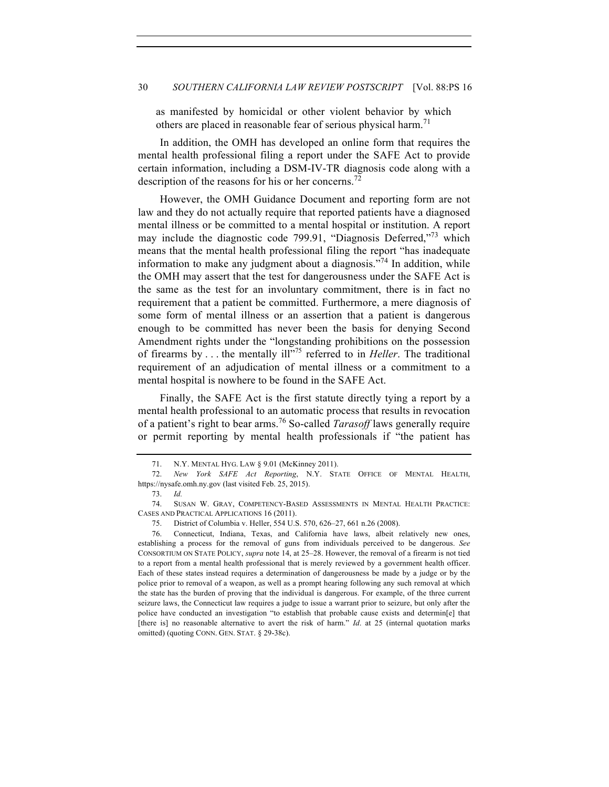## 30 *SOUTHERN CALIFORNIA LAW REVIEW POSTSCRIPT* [Vol. 88:PS 16

as manifested by homicidal or other violent behavior by which others are placed in reasonable fear of serious physical harm.<sup>71</sup>

In addition, the OMH has developed an online form that requires the mental health professional filing a report under the SAFE Act to provide certain information, including a DSM-IV-TR diagnosis code along with a description of the reasons for his or her concerns.<sup>72</sup>

However, the OMH Guidance Document and reporting form are not law and they do not actually require that reported patients have a diagnosed mental illness or be committed to a mental hospital or institution. A report may include the diagnostic code 799.91, "Diagnosis Deferred,"<sup>73</sup> which means that the mental health professional filing the report "has inadequate information to make any judgment about a diagnosis.<sup> $\frac{7}{4}$ </sup> In addition, while the OMH may assert that the test for dangerousness under the SAFE Act is the same as the test for an involuntary commitment, there is in fact no requirement that a patient be committed. Furthermore, a mere diagnosis of some form of mental illness or an assertion that a patient is dangerous enough to be committed has never been the basis for denying Second Amendment rights under the "longstanding prohibitions on the possession of firearms by  $\ldots$  the mentally ill<sup>1,75</sup> referred to in *Heller*. The traditional requirement of an adjudication of mental illness or a commitment to a mental hospital is nowhere to be found in the SAFE Act.

Finally, the SAFE Act is the first statute directly tying a report by a mental health professional to an automatic process that results in revocation of a patient's right to bear arms.<sup>76</sup> So-called *Tarasoff* laws generally require or permit reporting by mental health professionals if "the patient has

<sup>71.</sup> N.Y. MENTAL HYG. LAW § 9.01 (McKinney 2011).

<sup>72.</sup> *New York SAFE Act Reporting*, N.Y. STATE OFFICE OF MENTAL HEALTH, https://nysafe.omh.ny.gov (last visited Feb. 25, 2015).

<sup>73.</sup> *Id.*

<sup>74.</sup> SUSAN W. GRAY, COMPETENCY-BASED ASSESSMENTS IN MENTAL HEALTH PRACTICE: CASES AND PRACTICAL APPLICATIONS 16 (2011).

<sup>75.</sup> District of Columbia v. Heller, 554 U.S. 570, 626–27, 661 n.26 (2008).

<sup>76.</sup> Connecticut, Indiana, Texas, and California have laws, albeit relatively new ones, establishing a process for the removal of guns from individuals perceived to be dangerous. *See* CONSORTIUM ON STATE POLICY, *supra* note 14, at 25–28. However, the removal of a firearm is not tied to a report from a mental health professional that is merely reviewed by a government health officer. Each of these states instead requires a determination of dangerousness be made by a judge or by the police prior to removal of a weapon, as well as a prompt hearing following any such removal at which the state has the burden of proving that the individual is dangerous. For example, of the three current seizure laws, the Connecticut law requires a judge to issue a warrant prior to seizure, but only after the police have conducted an investigation "to establish that probable cause exists and determin[e] that [there is] no reasonable alternative to avert the risk of harm." *Id*. at 25 (internal quotation marks omitted) (quoting CONN. GEN. STAT. § 29-38c).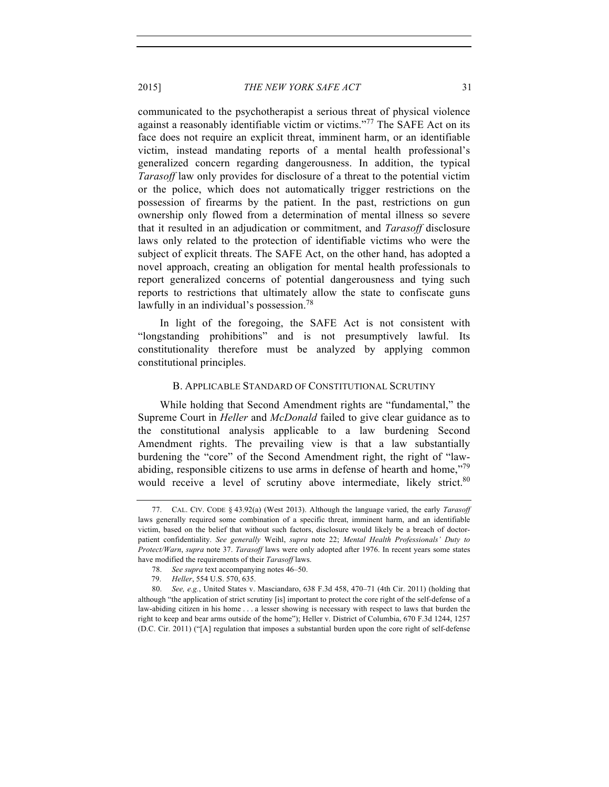communicated to the psychotherapist a serious threat of physical violence against a reasonably identifiable victim or victims."<sup>77</sup> The SAFE Act on its face does not require an explicit threat, imminent harm, or an identifiable victim, instead mandating reports of a mental health professional's generalized concern regarding dangerousness. In addition, the typical *Tarasoff* law only provides for disclosure of a threat to the potential victim or the police, which does not automatically trigger restrictions on the possession of firearms by the patient. In the past, restrictions on gun ownership only flowed from a determination of mental illness so severe that it resulted in an adjudication or commitment, and *Tarasoff* disclosure laws only related to the protection of identifiable victims who were the subject of explicit threats. The SAFE Act, on the other hand, has adopted a novel approach, creating an obligation for mental health professionals to report generalized concerns of potential dangerousness and tying such reports to restrictions that ultimately allow the state to confiscate guns lawfully in an individual's possession.<sup>78</sup>

In light of the foregoing, the SAFE Act is not consistent with "longstanding prohibitions" and is not presumptively lawful. Its constitutionality therefore must be analyzed by applying common constitutional principles.

#### B. APPLICABLE STANDARD OF CONSTITUTIONAL SCRUTINY

While holding that Second Amendment rights are "fundamental," the Supreme Court in *Heller* and *McDonald* failed to give clear guidance as to the constitutional analysis applicable to a law burdening Second Amendment rights. The prevailing view is that a law substantially burdening the "core" of the Second Amendment right, the right of "lawabiding, responsible citizens to use arms in defense of hearth and home,"<sup>79</sup> would receive a level of scrutiny above intermediate, likely strict.<sup>80</sup>

<sup>77.</sup> CAL. CIV. CODE § 43.92(a) (West 2013). Although the language varied, the early *Tarasoff* laws generally required some combination of a specific threat, imminent harm, and an identifiable victim, based on the belief that without such factors, disclosure would likely be a breach of doctorpatient confidentiality. *See generally* Weihl, *supra* note 22; *Mental Health Professionals' Duty to Protect/Warn*, *supra* note 37. *Tarasoff* laws were only adopted after 1976. In recent years some states have modified the requirements of their *Tarasoff* laws.

<sup>78.</sup> *See supra* text accompanying notes 46–50.

<sup>79.</sup> *Heller*, 554 U.S. 570, 635.

<sup>80.</sup> *See, e.g.*, United States v. Masciandaro, 638 F.3d 458, 470–71 (4th Cir. 2011) (holding that although "the application of strict scrutiny [is] important to protect the core right of the self-defense of a law-abiding citizen in his home . . . a lesser showing is necessary with respect to laws that burden the right to keep and bear arms outside of the home"); Heller v. District of Columbia, 670 F.3d 1244, 1257 (D.C. Cir. 2011) ("[A] regulation that imposes a substantial burden upon the core right of self-defense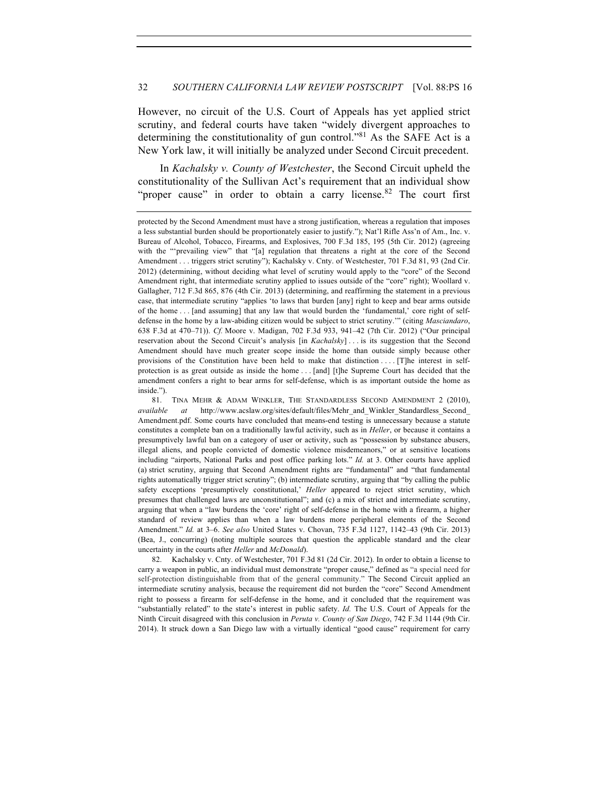## 32 *SOUTHERN CALIFORNIA LAW REVIEW POSTSCRIPT* [Vol. 88:PS 16

However, no circuit of the U.S. Court of Appeals has yet applied strict scrutiny, and federal courts have taken "widely divergent approaches to determining the constitutionality of gun control."<sup>81</sup> As the SAFE Act is a New York law, it will initially be analyzed under Second Circuit precedent.

In *Kachalsky v. County of Westchester*, the Second Circuit upheld the constitutionality of the Sullivan Act's requirement that an individual show "proper cause" in order to obtain a carry license. <sup>82</sup> The court first

82. Kachalsky v. Cnty. of Westchester, 701 F.3d 81 (2d Cir. 2012). In order to obtain a license to carry a weapon in public, an individual must demonstrate "proper cause," defined as "a special need for self-protection distinguishable from that of the general community." The Second Circuit applied an intermediate scrutiny analysis, because the requirement did not burden the "core" Second Amendment right to possess a firearm for self-defense in the home, and it concluded that the requirement was "substantially related" to the state's interest in public safety. *Id.* The U.S. Court of Appeals for the Ninth Circuit disagreed with this conclusion in *Peruta v. County of San Diego*, 742 F.3d 1144 (9th Cir. 2014). It struck down a San Diego law with a virtually identical "good cause" requirement for carry

protected by the Second Amendment must have a strong justification, whereas a regulation that imposes a less substantial burden should be proportionately easier to justify."); Nat'l Rifle Ass'n of Am., Inc. v. Bureau of Alcohol, Tobacco, Firearms, and Explosives, 700 F.3d 185, 195 (5th Cir. 2012) (agreeing with the "'prevailing view" that "[a] regulation that threatens a right at the core of the Second Amendment . . . triggers strict scrutiny"); Kachalsky v. Cnty. of Westchester, 701 F.3d 81, 93 (2nd Cir. 2012) (determining, without deciding what level of scrutiny would apply to the "core" of the Second Amendment right, that intermediate scrutiny applied to issues outside of the "core" right); Woollard v. Gallagher, 712 F.3d 865, 876 (4th Cir. 2013) (determining, and reaffirming the statement in a previous case, that intermediate scrutiny "applies 'to laws that burden [any] right to keep and bear arms outside of the home . . . [and assuming] that any law that would burden the 'fundamental,' core right of selfdefense in the home by a law-abiding citizen would be subject to strict scrutiny.'" (citing *Masciandaro*, 638 F.3d at 470–71)). *Cf.* Moore v. Madigan, 702 F.3d 933, 941–42 (7th Cir. 2012) ("Our principal reservation about the Second Circuit's analysis [in *Kachalsky*] . . . is its suggestion that the Second Amendment should have much greater scope inside the home than outside simply because other provisions of the Constitution have been held to make that distinction . . . . [T]he interest in selfprotection is as great outside as inside the home . . . [and] [t]he Supreme Court has decided that the amendment confers a right to bear arms for self-defense, which is as important outside the home as inside.").

<sup>81.</sup> TINA MEHR & ADAM WINKLER, THE STANDARDLESS SECOND AMENDMENT 2 (2010), *available at* http://www.acslaw.org/sites/default/files/Mehr\_and\_Winkler\_Standardless\_Second\_ Amendment.pdf. Some courts have concluded that means-end testing is unnecessary because a statute constitutes a complete ban on a traditionally lawful activity, such as in *Heller*, or because it contains a presumptively lawful ban on a category of user or activity, such as "possession by substance abusers, illegal aliens, and people convicted of domestic violence misdemeanors," or at sensitive locations including "airports, National Parks and post office parking lots." *Id.* at 3. Other courts have applied (a) strict scrutiny, arguing that Second Amendment rights are "fundamental" and "that fundamental rights automatically trigger strict scrutiny"; (b) intermediate scrutiny, arguing that "by calling the public safety exceptions 'presumptively constitutional,' *Heller* appeared to reject strict scrutiny, which presumes that challenged laws are unconstitutional"; and (c) a mix of strict and intermediate scrutiny, arguing that when a "law burdens the 'core' right of self-defense in the home with a firearm, a higher standard of review applies than when a law burdens more peripheral elements of the Second Amendment." *Id.* at 3–6. *See also* United States v. Chovan, 735 F.3d 1127, 1142–43 (9th Cir. 2013) (Bea, J., concurring) (noting multiple sources that question the applicable standard and the clear uncertainty in the courts after *Heller* and *McDonald*).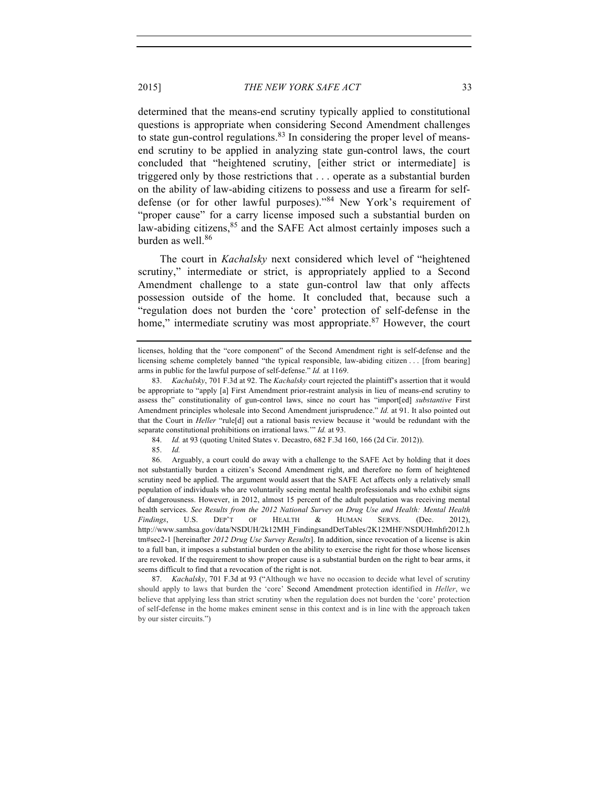determined that the means-end scrutiny typically applied to constitutional questions is appropriate when considering Second Amendment challenges to state gun-control regulations.  $83$  In considering the proper level of meansend scrutiny to be applied in analyzing state gun-control laws, the court concluded that "heightened scrutiny, [either strict or intermediate] is triggered only by those restrictions that . . . operate as a substantial burden on the ability of law-abiding citizens to possess and use a firearm for selfdefense (or for other lawful purposes)."<sup>84</sup> New York's requirement of "proper cause" for a carry license imposed such a substantial burden on law-abiding citizens,  $85$  and the SAFE Act almost certainly imposes such a burden as well.<sup>86</sup>

The court in *Kachalsky* next considered which level of "heightened scrutiny," intermediate or strict, is appropriately applied to a Second Amendment challenge to a state gun-control law that only affects possession outside of the home. It concluded that, because such a "regulation does not burden the 'core' protection of self-defense in the home," intermediate scrutiny was most appropriate. $87$  However, the court

86. Arguably, a court could do away with a challenge to the SAFE Act by holding that it does not substantially burden a citizen's Second Amendment right, and therefore no form of heightened scrutiny need be applied. The argument would assert that the SAFE Act affects only a relatively small population of individuals who are voluntarily seeing mental health professionals and who exhibit signs of dangerousness. However, in 2012, almost 15 percent of the adult population was receiving mental health services. *See Results from the 2012 National Survey on Drug Use and Health: Mental Health Findings*, U.S. DEP'T OF HEALTH & HUMAN SERVS. (Dec. 2012), http://www.samhsa.gov/data/NSDUH/2k12MH\_FindingsandDetTables/2K12MHF/NSDUHmhfr2012.h tm#sec2-1 [hereinafter *2012 Drug Use Survey Results*]. In addition, since revocation of a license is akin to a full ban, it imposes a substantial burden on the ability to exercise the right for those whose licenses are revoked. If the requirement to show proper cause is a substantial burden on the right to bear arms, it seems difficult to find that a revocation of the right is not.

87. *Kachalsky*, 701 F.3d at 93 ("Although we have no occasion to decide what level of scrutiny should apply to laws that burden the 'core' Second Amendment protection identified in *Heller*, we believe that applying less than strict scrutiny when the regulation does not burden the 'core' protection of self-defense in the home makes eminent sense in this context and is in line with the approach taken by our sister circuits.")

licenses, holding that the "core component" of the Second Amendment right is self-defense and the licensing scheme completely banned "the typical responsible, law-abiding citizen . . . [from bearing] arms in public for the lawful purpose of self-defense." *Id.* at 1169.

<sup>83.</sup> *Kachalsky*, 701 F.3d at 92. The *Kachalsky* court rejected the plaintiff's assertion that it would be appropriate to "apply [a] First Amendment prior-restraint analysis in lieu of means-end scrutiny to assess the" constitutionality of gun-control laws, since no court has "import[ed] *substantive* First Amendment principles wholesale into Second Amendment jurisprudence." *Id.* at 91. It also pointed out that the Court in *Heller* "rule[d] out a rational basis review because it 'would be redundant with the separate constitutional prohibitions on irrational laws.'" *Id.* at 93.

<sup>84.</sup> *Id.* at 93 (quoting United States v. Decastro, 682 F.3d 160, 166 (2d Cir. 2012)).

<sup>85.</sup> *Id.*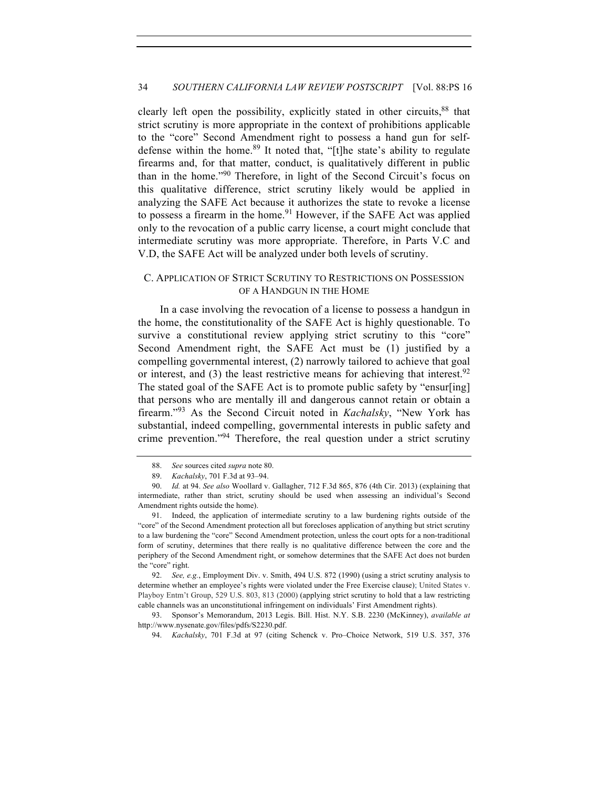clearly left open the possibility, explicitly stated in other circuits, 88 that strict scrutiny is more appropriate in the context of prohibitions applicable to the "core" Second Amendment right to possess a hand gun for selfdefense within the home.<sup>89</sup> It noted that, "[t]he state's ability to regulate firearms and, for that matter, conduct, is qualitatively different in public than in the home."<sup>90</sup> Therefore, in light of the Second Circuit's focus on this qualitative difference, strict scrutiny likely would be applied in analyzing the SAFE Act because it authorizes the state to revoke a license to possess a firearm in the home.<sup>91</sup> However, if the SAFE Act was applied only to the revocation of a public carry license, a court might conclude that intermediate scrutiny was more appropriate. Therefore, in Parts V.C and V.D, the SAFE Act will be analyzed under both levels of scrutiny.

# C. APPLICATION OF STRICT SCRUTINY TO RESTRICTIONS ON POSSESSION OF A HANDGUN IN THE HOME

In a case involving the revocation of a license to possess a handgun in the home, the constitutionality of the SAFE Act is highly questionable. To survive a constitutional review applying strict scrutiny to this "core" Second Amendment right, the SAFE Act must be (1) justified by a compelling governmental interest, (2) narrowly tailored to achieve that goal or interest, and (3) the least restrictive means for achieving that interest.<sup>92</sup> The stated goal of the SAFE Act is to promote public safety by "ensur[ing] that persons who are mentally ill and dangerous cannot retain or obtain a firearm."<sup>93</sup> As the Second Circuit noted in *Kachalsky*, "New York has substantial, indeed compelling, governmental interests in public safety and crime prevention."94 Therefore, the real question under a strict scrutiny

<sup>88.</sup> *See* sources cited *supra* note 80.

<sup>89.</sup> *Kachalsky*, 701 F.3d at 93–94.

<sup>90.</sup> *Id.* at 94. *See also* Woollard v. Gallagher, 712 F.3d 865, 876 (4th Cir. 2013) (explaining that intermediate, rather than strict, scrutiny should be used when assessing an individual's Second Amendment rights outside the home).

<sup>91.</sup> Indeed, the application of intermediate scrutiny to a law burdening rights outside of the "core" of the Second Amendment protection all but forecloses application of anything but strict scrutiny to a law burdening the "core" Second Amendment protection, unless the court opts for a non-traditional form of scrutiny, determines that there really is no qualitative difference between the core and the periphery of the Second Amendment right, or somehow determines that the SAFE Act does not burden the "core" right.

<sup>92.</sup> *See, e.g.*, Employment Div. v. Smith, 494 U.S. 872 (1990) (using a strict scrutiny analysis to determine whether an employee's rights were violated under the Free Exercise clause); United States v. Playboy Entm't Group, 529 U.S. 803, 813 (2000) (applying strict scrutiny to hold that a law restricting cable channels was an unconstitutional infringement on individuals' First Amendment rights).

<sup>93.</sup> Sponsor's Memorandum, 2013 Legis. Bill. Hist. N.Y. S.B. 2230 (McKinney), *available at*  http://www.nysenate.gov/files/pdfs/S2230.pdf.

<sup>94.</sup> *Kachalsky*, 701 F.3d at 97 (citing Schenck v. Pro–Choice Network, 519 U.S. 357, 376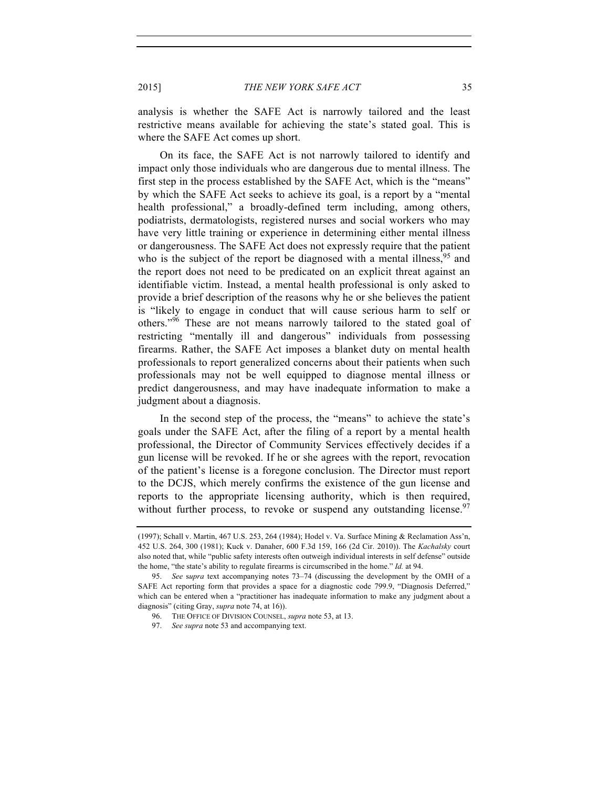analysis is whether the SAFE Act is narrowly tailored and the least restrictive means available for achieving the state's stated goal. This is where the SAFE Act comes up short.

On its face, the SAFE Act is not narrowly tailored to identify and impact only those individuals who are dangerous due to mental illness. The first step in the process established by the SAFE Act, which is the "means" by which the SAFE Act seeks to achieve its goal, is a report by a "mental health professional," a broadly-defined term including, among others, podiatrists, dermatologists, registered nurses and social workers who may have very little training or experience in determining either mental illness or dangerousness. The SAFE Act does not expressly require that the patient who is the subject of the report be diagnosed with a mental illness,  $95$  and the report does not need to be predicated on an explicit threat against an identifiable victim. Instead, a mental health professional is only asked to provide a brief description of the reasons why he or she believes the patient is "likely to engage in conduct that will cause serious harm to self or others."<sup>96</sup> These are not means narrowly tailored to the stated goal of restricting "mentally ill and dangerous" individuals from possessing firearms. Rather, the SAFE Act imposes a blanket duty on mental health professionals to report generalized concerns about their patients when such professionals may not be well equipped to diagnose mental illness or predict dangerousness, and may have inadequate information to make a judgment about a diagnosis.

In the second step of the process, the "means" to achieve the state's goals under the SAFE Act, after the filing of a report by a mental health professional, the Director of Community Services effectively decides if a gun license will be revoked. If he or she agrees with the report, revocation of the patient's license is a foregone conclusion. The Director must report to the DCJS, which merely confirms the existence of the gun license and reports to the appropriate licensing authority, which is then required, without further process, to revoke or suspend any outstanding license.  $\frac{97}{2}$ 

<sup>(1997);</sup> Schall v. Martin, 467 U.S. 253, 264 (1984); Hodel v. Va. Surface Mining & Reclamation Ass'n, 452 U.S. 264, 300 (1981); Kuck v. Danaher, 600 F.3d 159, 166 (2d Cir. 2010)). The *Kachalsky* court also noted that, while "public safety interests often outweigh individual interests in self defense" outside the home, "the state's ability to regulate firearms is circumscribed in the home." *Id.* at 94.

<sup>95.</sup> *See* s*upra* text accompanying notes 73–74 (discussing the development by the OMH of a SAFE Act reporting form that provides a space for a diagnostic code 799.9, "Diagnosis Deferred," which can be entered when a "practitioner has inadequate information to make any judgment about a diagnosis" (citing Gray, *supra* note 74, at 16)).

<sup>96.</sup> THE OFFICE OF DIVISION COUNSEL, *supra* note 53, at 13.

<sup>97.</sup> *See supra* note 53 and accompanying text.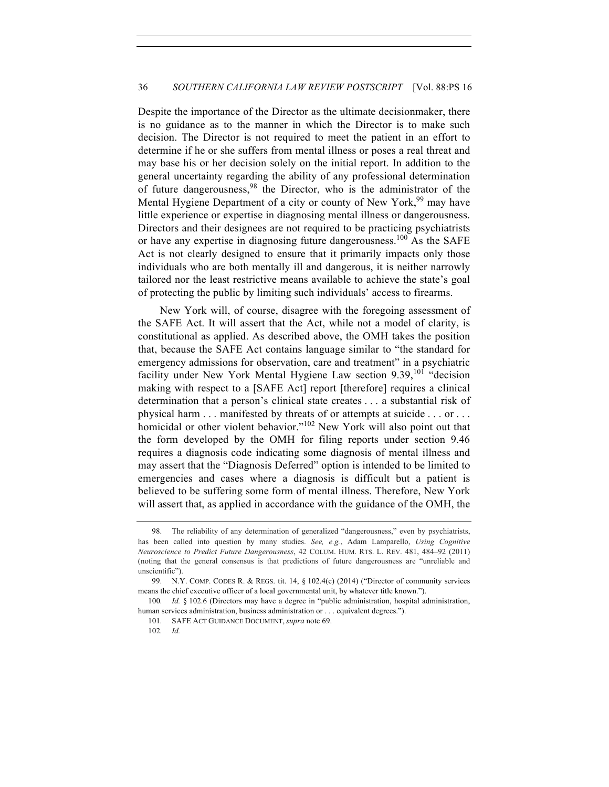Despite the importance of the Director as the ultimate decisionmaker, there is no guidance as to the manner in which the Director is to make such decision. The Director is not required to meet the patient in an effort to determine if he or she suffers from mental illness or poses a real threat and may base his or her decision solely on the initial report. In addition to the general uncertainty regarding the ability of any professional determination of future dangerousness, <sup>98</sup> the Director, who is the administrator of the Mental Hygiene Department of a city or county of New York,<sup>99</sup> may have little experience or expertise in diagnosing mental illness or dangerousness. Directors and their designees are not required to be practicing psychiatrists or have any expertise in diagnosing future dangerousness.<sup>100</sup> As the SAFE Act is not clearly designed to ensure that it primarily impacts only those individuals who are both mentally ill and dangerous, it is neither narrowly tailored nor the least restrictive means available to achieve the state's goal of protecting the public by limiting such individuals' access to firearms.

New York will, of course, disagree with the foregoing assessment of the SAFE Act. It will assert that the Act, while not a model of clarity, is constitutional as applied. As described above, the OMH takes the position that, because the SAFE Act contains language similar to "the standard for emergency admissions for observation, care and treatment" in a psychiatric facility under New York Mental Hygiene Law section  $9.39$ , <sup>101</sup> "decision making with respect to a [SAFE Act] report [therefore] requires a clinical determination that a person's clinical state creates . . . a substantial risk of physical harm . . . manifested by threats of or attempts at suicide . . . or . . . homicidal or other violent behavior."<sup>102</sup> New York will also point out that the form developed by the OMH for filing reports under section 9.46 requires a diagnosis code indicating some diagnosis of mental illness and may assert that the "Diagnosis Deferred" option is intended to be limited to emergencies and cases where a diagnosis is difficult but a patient is believed to be suffering some form of mental illness. Therefore, New York will assert that, as applied in accordance with the guidance of the OMH, the

<sup>98.</sup> The reliability of any determination of generalized "dangerousness," even by psychiatrists, has been called into question by many studies. *See, e.g.*, Adam Lamparello, *Using Cognitive Neuroscience to Predict Future Dangerousness*, 42 COLUM. HUM. RTS. L. REV. 481, 484–92 (2011) (noting that the general consensus is that predictions of future dangerousness are "unreliable and unscientific").

<sup>99.</sup> N.Y. COMP. CODES R. & REGS. tit. 14, § 102.4(c) (2014) ("Director of community services means the chief executive officer of a local governmental unit, by whatever title known.").

<sup>100.</sup> *Id.* § 102.6 (Directors may have a degree in "public administration, hospital administration, human services administration, business administration or . . . equivalent degrees.").

<sup>101.</sup> SAFE ACT GUIDANCE DOCUMENT, *supra* note 69.

<sup>102.</sup> *Id.*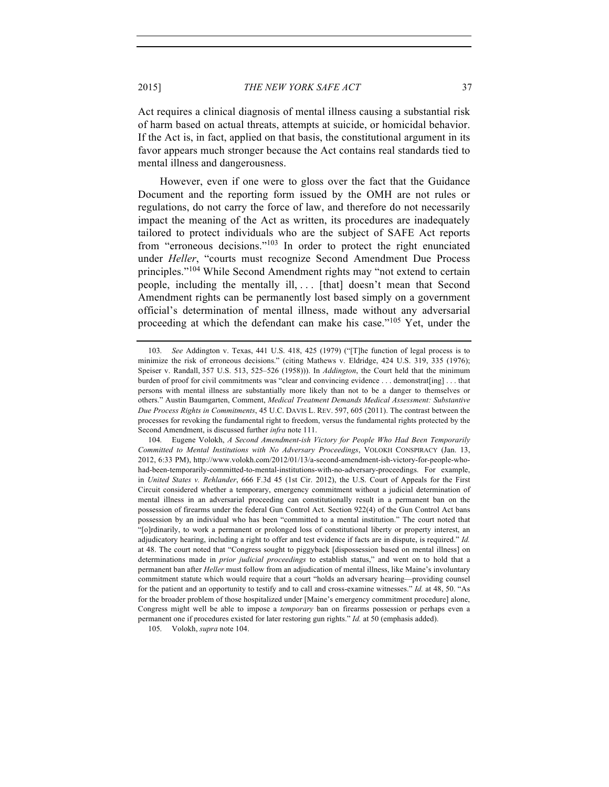Act requires a clinical diagnosis of mental illness causing a substantial risk of harm based on actual threats, attempts at suicide, or homicidal behavior. If the Act is, in fact, applied on that basis, the constitutional argument in its favor appears much stronger because the Act contains real standards tied to mental illness and dangerousness.

However, even if one were to gloss over the fact that the Guidance Document and the reporting form issued by the OMH are not rules or regulations, do not carry the force of law, and therefore do not necessarily impact the meaning of the Act as written, its procedures are inadequately tailored to protect individuals who are the subject of SAFE Act reports from "erroneous decisions."<sup>103</sup> In order to protect the right enunciated under *Heller*, "courts must recognize Second Amendment Due Process principles."<sup>104</sup> While Second Amendment rights may "not extend to certain people, including the mentally ill, ... [that] doesn't mean that Second Amendment rights can be permanently lost based simply on a government official's determination of mental illness, made without any adversarial proceeding at which the defendant can make his case."<sup>105</sup> Yet, under the

105. Volokh, *supra* note 104.

<sup>103.</sup> *See* Addington v. Texas, 441 U.S. 418, 425 (1979) ("[T]he function of legal process is to minimize the risk of erroneous decisions." (citing Mathews v. Eldridge, 424 U.S. 319, 335 (1976); Speiser v. Randall, 357 U.S. 513, 525–526 (1958))). In *Addington*, the Court held that the minimum burden of proof for civil commitments was "clear and convincing evidence . . . demonstrat[ing] . . . that persons with mental illness are substantially more likely than not to be a danger to themselves or others." Austin Baumgarten, Comment, *Medical Treatment Demands Medical Assessment: Substantive Due Process Rights in Commitments*, 45 U.C. DAVIS L. REV. 597, 605 (2011). The contrast between the processes for revoking the fundamental right to freedom, versus the fundamental rights protected by the Second Amendment, is discussed further *infra* note 111.

<sup>104.</sup> Eugene Volokh, *A Second Amendment-ish Victory for People Who Had Been Temporarily Committed to Mental Institutions with No Adversary Proceedings*, VOLOKH CONSPIRACY (Jan. 13, 2012, 6:33 PM), http://www.volokh.com/2012/01/13/a-second-amendment-ish-victory-for-people-whohad-been-temporarily-committed-to-mental-institutions-with-no-adversary-proceedings. For example, in *United States v. Rehlander*, 666 F.3d 45 (1st Cir. 2012), the U.S. Court of Appeals for the First Circuit considered whether a temporary, emergency commitment without a judicial determination of mental illness in an adversarial proceeding can constitutionally result in a permanent ban on the possession of firearms under the federal Gun Control Act. Section 922(4) of the Gun Control Act bans possession by an individual who has been "committed to a mental institution." The court noted that "[o]rdinarily, to work a permanent or prolonged loss of constitutional liberty or property interest, an adjudicatory hearing, including a right to offer and test evidence if facts are in dispute, is required." *Id.* at 48. The court noted that "Congress sought to piggyback [dispossession based on mental illness] on determinations made in *prior judicial proceedings* to establish status," and went on to hold that a permanent ban after *Heller* must follow from an adjudication of mental illness, like Maine's involuntary commitment statute which would require that a court "holds an adversary hearing—providing counsel for the patient and an opportunity to testify and to call and cross-examine witnesses." *Id.* at 48, 50. "As for the broader problem of those hospitalized under [Maine's emergency commitment procedure] alone, Congress might well be able to impose a *temporary* ban on firearms possession or perhaps even a permanent one if procedures existed for later restoring gun rights." *Id.* at 50 (emphasis added).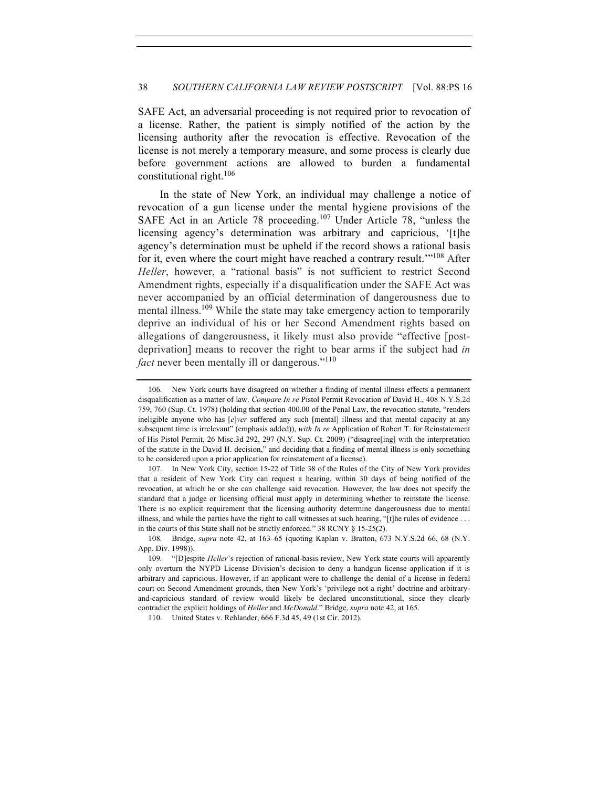SAFE Act, an adversarial proceeding is not required prior to revocation of a license. Rather, the patient is simply notified of the action by the licensing authority after the revocation is effective. Revocation of the license is not merely a temporary measure, and some process is clearly due before government actions are allowed to burden a fundamental constitutional right.<sup>106</sup>

In the state of New York, an individual may challenge a notice of revocation of a gun license under the mental hygiene provisions of the SAFE Act in an Article 78 proceeding.<sup>107</sup> Under Article 78, "unless the licensing agency's determination was arbitrary and capricious, '[t]he agency's determination must be upheld if the record shows a rational basis for it, even where the court might have reached a contrary result.<sup>'"108</sup> After *Heller*, however, a "rational basis" is not sufficient to restrict Second Amendment rights, especially if a disqualification under the SAFE Act was never accompanied by an official determination of dangerousness due to mental illness.<sup>109</sup> While the state may take emergency action to temporarily deprive an individual of his or her Second Amendment rights based on allegations of dangerousness, it likely must also provide "effective [postdeprivation] means to recover the right to bear arms if the subject had *in fact* never been mentally ill or dangerous."<sup>110</sup>

<sup>106.</sup> New York courts have disagreed on whether a finding of mental illness effects a permanent disqualification as a matter of law. *Compare In re* Pistol Permit Revocation of David H., 408 N.Y.S.2d 759, 760 (Sup. Ct. 1978) (holding that section 400.00 of the Penal Law, the revocation statute, "renders ineligible anyone who has [*e*]*ver* suffered any such [mental] illness and that mental capacity at any subsequent time is irrelevant" (emphasis added)), *with In re* Application of Robert T. for Reinstatement of His Pistol Permit, 26 Misc.3d 292, 297 (N.Y. Sup. Ct. 2009) ("disagree[ing] with the interpretation of the statute in the David H. decision," and deciding that a finding of mental illness is only something to be considered upon a prior application for reinstatement of a license).

<sup>107.</sup> In New York City, section 15-22 of Title 38 of the Rules of the City of New York provides that a resident of New York City can request a hearing, within 30 days of being notified of the revocation, at which he or she can challenge said revocation. However, the law does not specify the standard that a judge or licensing official must apply in determining whether to reinstate the license. There is no explicit requirement that the licensing authority determine dangerousness due to mental illness, and while the parties have the right to call witnesses at such hearing, "[t]he rules of evidence . . . in the courts of this State shall not be strictly enforced." 38 RCNY § 15-25(2).

<sup>108.</sup> Bridge, *supra* note 42, at 163–65 (quoting Kaplan v. Bratton, 673 N.Y.S.2d 66, 68 (N.Y. App. Div. 1998)).

<sup>109.</sup> "[D]espite *Heller*'s rejection of rational-basis review, New York state courts will apparently only overturn the NYPD License Division's decision to deny a handgun license application if it is arbitrary and capricious. However, if an applicant were to challenge the denial of a license in federal court on Second Amendment grounds, then New York's 'privilege not a right' doctrine and arbitraryand-capricious standard of review would likely be declared unconstitutional, since they clearly contradict the explicit holdings of *Heller* and *McDonald*." Bridge, *supra* note 42, at 165.

<sup>110.</sup> United States v. Rehlander, 666 F.3d 45, 49 (1st Cir. 2012).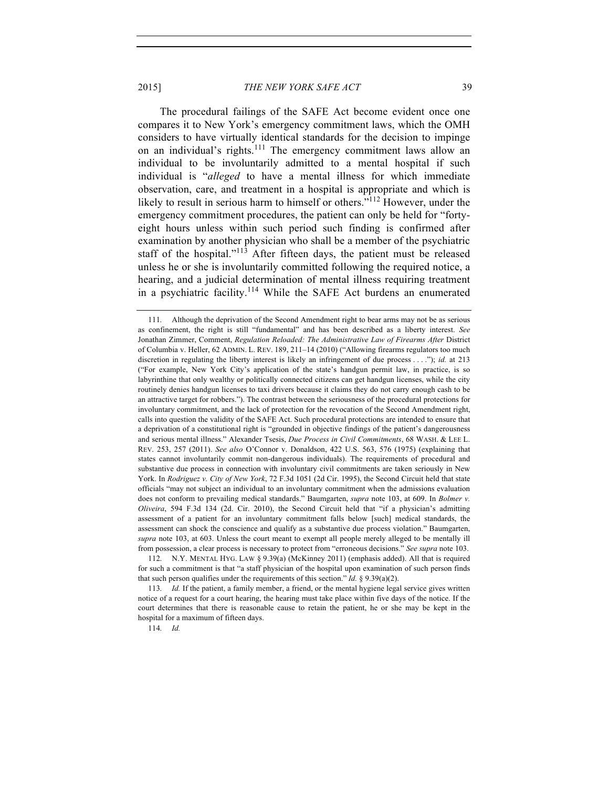The procedural failings of the SAFE Act become evident once one compares it to New York's emergency commitment laws, which the OMH considers to have virtually identical standards for the decision to impinge on an individual's rights.<sup>111</sup> The emergency commitment laws allow an individual to be involuntarily admitted to a mental hospital if such individual is "*alleged* to have a mental illness for which immediate observation, care, and treatment in a hospital is appropriate and which is likely to result in serious harm to himself or others."<sup>112</sup> However, under the emergency commitment procedures, the patient can only be held for "fortyeight hours unless within such period such finding is confirmed after examination by another physician who shall be a member of the psychiatric staff of the hospital." $113$  After fifteen days, the patient must be released unless he or she is involuntarily committed following the required notice, a

hearing, and a judicial determination of mental illness requiring treatment in a psychiatric facility.<sup>114</sup> While the SAFE Act burdens an enumerated

114. *Id.*

<sup>111.</sup> Although the deprivation of the Second Amendment right to bear arms may not be as serious as confinement, the right is still "fundamental" and has been described as a liberty interest. *See* Jonathan Zimmer, Comment, *Regulation Reloaded: The Administrative Law of Firearms After* District of Columbia v. Heller, 62 ADMIN. L. REV. 189, 211–14 (2010) ("Allowing firearms regulators too much discretion in regulating the liberty interest is likely an infringement of due process . . . ."); *id.* at 213 ("For example, New York City's application of the state's handgun permit law, in practice, is so labyrinthine that only wealthy or politically connected citizens can get handgun licenses, while the city routinely denies handgun licenses to taxi drivers because it claims they do not carry enough cash to be an attractive target for robbers."). The contrast between the seriousness of the procedural protections for involuntary commitment, and the lack of protection for the revocation of the Second Amendment right, calls into question the validity of the SAFE Act. Such procedural protections are intended to ensure that a deprivation of a constitutional right is "grounded in objective findings of the patient's dangerousness and serious mental illness." Alexander Tsesis, *Due Process in Civil Commitments*, 68 WASH. & LEE L. REV. 253, 257 (2011). *See also* O'Connor v. Donaldson, 422 U.S. 563, 576 (1975) (explaining that states cannot involuntarily commit non-dangerous individuals). The requirements of procedural and substantive due process in connection with involuntary civil commitments are taken seriously in New York. In *Rodriguez v. City of New York*, 72 F.3d 1051 (2d Cir. 1995), the Second Circuit held that state officials "may not subject an individual to an involuntary commitment when the admissions evaluation does not conform to prevailing medical standards." Baumgarten, *supra* note 103, at 609. In *Bolmer v. Oliveira*, 594 F.3d 134 (2d. Cir. 2010), the Second Circuit held that "if a physician's admitting assessment of a patient for an involuntary commitment falls below [such] medical standards, the assessment can shock the conscience and qualify as a substantive due process violation." Baumgarten, *supra* note 103, at 603. Unless the court meant to exempt all people merely alleged to be mentally ill from possession, a clear process is necessary to protect from "erroneous decisions." *See supra* note 103.

<sup>112.</sup> N.Y. MENTAL HYG. LAW § 9.39(a) (McKinney 2011) (emphasis added). All that is required for such a commitment is that "a staff physician of the hospital upon examination of such person finds that such person qualifies under the requirements of this section." *Id.* § 9.39(a)(2).

<sup>113.</sup> *Id.* If the patient, a family member, a friend, or the mental hygiene legal service gives written notice of a request for a court hearing, the hearing must take place within five days of the notice. If the court determines that there is reasonable cause to retain the patient, he or she may be kept in the hospital for a maximum of fifteen days.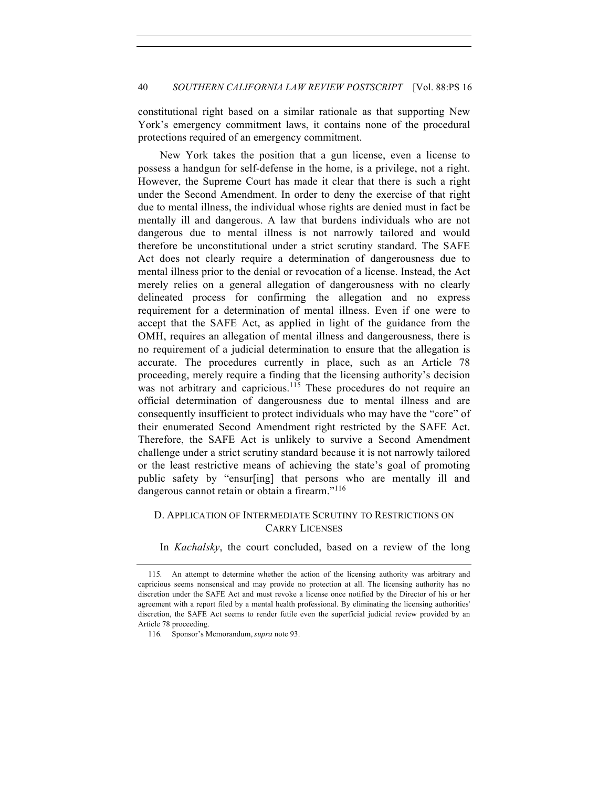constitutional right based on a similar rationale as that supporting New York's emergency commitment laws, it contains none of the procedural protections required of an emergency commitment.

New York takes the position that a gun license, even a license to possess a handgun for self-defense in the home, is a privilege, not a right. However, the Supreme Court has made it clear that there is such a right under the Second Amendment. In order to deny the exercise of that right due to mental illness, the individual whose rights are denied must in fact be mentally ill and dangerous. A law that burdens individuals who are not dangerous due to mental illness is not narrowly tailored and would therefore be unconstitutional under a strict scrutiny standard. The SAFE Act does not clearly require a determination of dangerousness due to mental illness prior to the denial or revocation of a license. Instead, the Act merely relies on a general allegation of dangerousness with no clearly delineated process for confirming the allegation and no express requirement for a determination of mental illness. Even if one were to accept that the SAFE Act, as applied in light of the guidance from the OMH, requires an allegation of mental illness and dangerousness, there is no requirement of a judicial determination to ensure that the allegation is accurate. The procedures currently in place, such as an Article 78 proceeding, merely require a finding that the licensing authority's decision was not arbitrary and capricious.<sup>115</sup> These procedures do not require an official determination of dangerousness due to mental illness and are consequently insufficient to protect individuals who may have the "core" of their enumerated Second Amendment right restricted by the SAFE Act. Therefore, the SAFE Act is unlikely to survive a Second Amendment challenge under a strict scrutiny standard because it is not narrowly tailored or the least restrictive means of achieving the state's goal of promoting public safety by "ensur[ing] that persons who are mentally ill and dangerous cannot retain or obtain a firearm."<sup>116</sup>

# D. APPLICATION OF INTERMEDIATE SCRUTINY TO RESTRICTIONS ON CARRY LICENSES

In *Kachalsky*, the court concluded, based on a review of the long

<sup>115.</sup> An attempt to determine whether the action of the licensing authority was arbitrary and capricious seems nonsensical and may provide no protection at all. The licensing authority has no discretion under the SAFE Act and must revoke a license once notified by the Director of his or her agreement with a report filed by a mental health professional. By eliminating the licensing authorities' discretion, the SAFE Act seems to render futile even the superficial judicial review provided by an Article 78 proceeding.

<sup>116.</sup> Sponsor's Memorandum, *supra* note 93.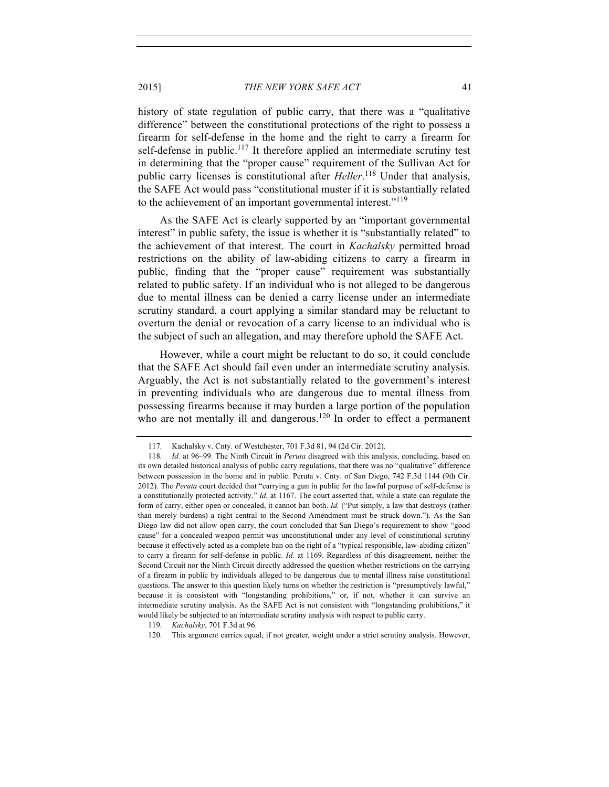history of state regulation of public carry, that there was a "qualitative difference" between the constitutional protections of the right to possess a firearm for self-defense in the home and the right to carry a firearm for self-defense in public.<sup>117</sup> It therefore applied an intermediate scrutiny test in determining that the "proper cause" requirement of the Sullivan Act for public carry licenses is constitutional after *Heller*. <sup>118</sup> Under that analysis, the SAFE Act would pass "constitutional muster if it is substantially related to the achievement of an important governmental interest."<sup>119</sup>

As the SAFE Act is clearly supported by an "important governmental interest" in public safety, the issue is whether it is "substantially related" to the achievement of that interest. The court in *Kachalsky* permitted broad restrictions on the ability of law-abiding citizens to carry a firearm in public, finding that the "proper cause" requirement was substantially related to public safety. If an individual who is not alleged to be dangerous due to mental illness can be denied a carry license under an intermediate scrutiny standard, a court applying a similar standard may be reluctant to overturn the denial or revocation of a carry license to an individual who is the subject of such an allegation, and may therefore uphold the SAFE Act.

However, while a court might be reluctant to do so, it could conclude that the SAFE Act should fail even under an intermediate scrutiny analysis. Arguably, the Act is not substantially related to the government's interest in preventing individuals who are dangerous due to mental illness from possessing firearms because it may burden a large portion of the population who are not mentally ill and dangerous.<sup>120</sup> In order to effect a permanent

<sup>117.</sup> Kachalsky v. Cnty. of Westchester, 701 F.3d 81, 94 (2d Cir. 2012).

<sup>118.</sup> *Id.* at 96–99. The Ninth Circuit in *Peruta* disagreed with this analysis, concluding, based on its own detailed historical analysis of public carry regulations, that there was no "qualitative" difference between possession in the home and in public. Peruta v. Cnty. of San Diego, 742 F.3d 1144 (9th Cir. 2012). The *Peruta* court decided that "carrying a gun in public for the lawful purpose of self-defense is a constitutionally protected activity." *Id.* at 1167. The court asserted that, while a state can regulate the form of carry, either open or concealed, it cannot ban both. *Id.* ("Put simply, a law that destroys (rather than merely burdens) a right central to the Second Amendment must be struck down."). As the San Diego law did not allow open carry, the court concluded that San Diego's requirement to show "good cause" for a concealed weapon permit was unconstitutional under any level of constitutional scrutiny because it effectively acted as a complete ban on the right of a "typical responsible, law-abiding citizen" to carry a firearm for self-defense in public. *Id.* at 1169. Regardless of this disagreement, neither the Second Circuit nor the Ninth Circuit directly addressed the question whether restrictions on the carrying of a firearm in public by individuals alleged to be dangerous due to mental illness raise constitutional questions. The answer to this question likely turns on whether the restriction is "presumptively lawful," because it is consistent with "longstanding prohibitions," or, if not, whether it can survive an intermediate scrutiny analysis. As the SAFE Act is not consistent with "longstanding prohibitions," it would likely be subjected to an intermediate scrutiny analysis with respect to public carry.

<sup>119.</sup> *Kachalsky*, 701 F.3d at 96.

<sup>120.</sup> This argument carries equal, if not greater, weight under a strict scrutiny analysis. However,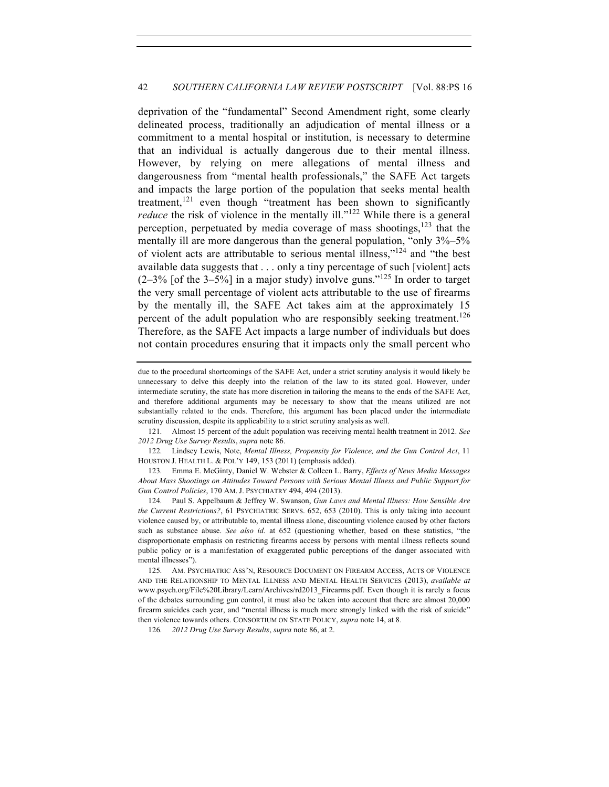## 42 *SOUTHERN CALIFORNIA LAW REVIEW POSTSCRIPT* [Vol. 88:PS 16

deprivation of the "fundamental" Second Amendment right, some clearly delineated process, traditionally an adjudication of mental illness or a commitment to a mental hospital or institution, is necessary to determine that an individual is actually dangerous due to their mental illness. However, by relying on mere allegations of mental illness and dangerousness from "mental health professionals," the SAFE Act targets and impacts the large portion of the population that seeks mental health treatment,<sup>121</sup> even though "treatment has been shown to significantly *reduce* the risk of violence in the mentally ill."<sup>122</sup> While there is a general perception, perpetuated by media coverage of mass shootings,  $123$  that the mentally ill are more dangerous than the general population, "only  $3\% - 5\%$ of violent acts are attributable to serious mental illness,"<sup>124</sup> and "the best available data suggests that . . . only a tiny percentage of such [violent] acts  $(2-3\%$  [of the 3-5%] in a major study) involve guns.<sup>"125</sup> In order to target the very small percentage of violent acts attributable to the use of firearms by the mentally ill, the SAFE Act takes aim at the approximately 15 percent of the adult population who are responsibly seeking treatment.<sup>126</sup> Therefore, as the SAFE Act impacts a large number of individuals but does not contain procedures ensuring that it impacts only the small percent who

122. Lindsey Lewis, Note, *Mental Illness, Propensity for Violence, and the Gun Control Act*, 11 HOUSTON J. HEALTH L. & POL'Y 149, 153 (2011) (emphasis added).

123. Emma E. McGinty, Daniel W. Webster & Colleen L. Barry, *Effects of News Media Messages About Mass Shootings on Attitudes Toward Persons with Serious Mental Illness and Public Support for Gun Control Policies*, 170 AM. J. PSYCHIATRY 494, 494 (2013).

124. Paul S. Appelbaum & Jeffrey W. Swanson, *Gun Laws and Mental Illness: How Sensible Are the Current Restrictions?*, 61 PSYCHIATRIC SERVS. 652, 653 (2010). This is only taking into account violence caused by, or attributable to, mental illness alone, discounting violence caused by other factors such as substance abuse. *See also id.* at 652 (questioning whether, based on these statistics, "the disproportionate emphasis on restricting firearms access by persons with mental illness reflects sound public policy or is a manifestation of exaggerated public perceptions of the danger associated with mental illnesses").

126. *2012 Drug Use Survey Results*, *supra* note 86, at 2.

due to the procedural shortcomings of the SAFE Act, under a strict scrutiny analysis it would likely be unnecessary to delve this deeply into the relation of the law to its stated goal. However, under intermediate scrutiny, the state has more discretion in tailoring the means to the ends of the SAFE Act, and therefore additional arguments may be necessary to show that the means utilized are not substantially related to the ends. Therefore, this argument has been placed under the intermediate scrutiny discussion, despite its applicability to a strict scrutiny analysis as well.

<sup>121.</sup> Almost 15 percent of the adult population was receiving mental health treatment in 2012. *See 2012 Drug Use Survey Results*, *supra* note 86.

<sup>125.</sup> AM. PSYCHIATRIC ASS'N, RESOURCE DOCUMENT ON FIREARM ACCESS, ACTS OF VIOLENCE AND THE RELATIONSHIP TO MENTAL ILLNESS AND MENTAL HEALTH SERVICES (2013), *available at* www.psych.org/File%20Library/Learn/Archives/rd2013\_Firearms.pdf. Even though it is rarely a focus of the debates surrounding gun control, it must also be taken into account that there are almost 20,000 firearm suicides each year, and "mental illness is much more strongly linked with the risk of suicide" then violence towards others. CONSORTIUM ON STATE POLICY, *supra* note 14, at 8.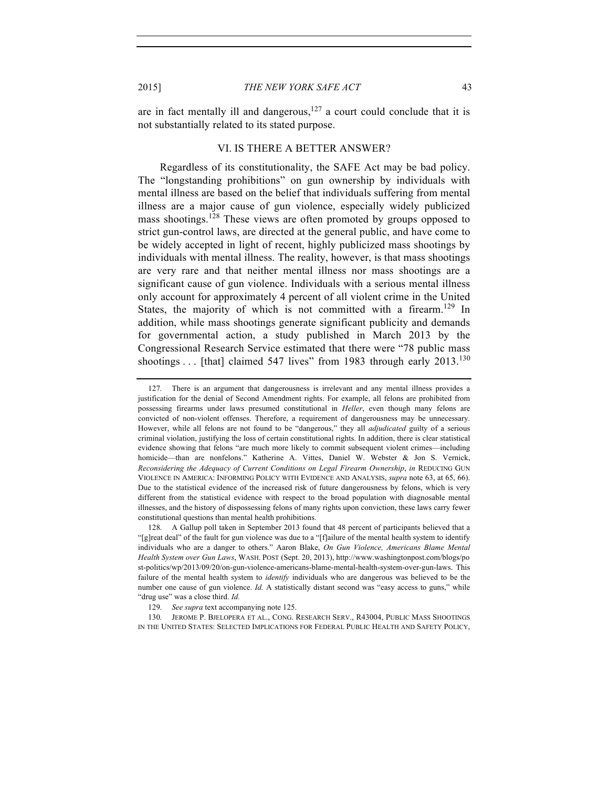are in fact mentally ill and dangerous, $127$  a court could conclude that it is not substantially related to its stated purpose.

# VI. IS THERE A BETTER ANSWER?

Regardless of its constitutionality, the SAFE Act may be bad policy. The "longstanding prohibitions" on gun ownership by individuals with mental illness are based on the belief that individuals suffering from mental illness are a major cause of gun violence, especially widely publicized mass shootings.<sup>128</sup> These views are often promoted by groups opposed to strict gun-control laws, are directed at the general public, and have come to be widely accepted in light of recent, highly publicized mass shootings by individuals with mental illness. The reality, however, is that mass shootings are very rare and that neither mental illness nor mass shootings are a significant cause of gun violence. Individuals with a serious mental illness only account for approximately 4 percent of all violent crime in the United States, the majority of which is not committed with a firearm.<sup>129</sup> In addition, while mass shootings generate significant publicity and demands for governmental action, a study published in March 2013 by the Congressional Research Service estimated that there were "78 public mass shootings  $\ldots$  [that] claimed 547 lives" from 1983 through early 2013.<sup>130</sup>

128. A Gallup poll taken in September 2013 found that 48 percent of participants believed that a "[g]reat deal" of the fault for gun violence was due to a "[f]ailure of the mental health system to identify individuals who are a danger to others." Aaron Blake, *On Gun Violence, Americans Blame Mental Health System over Gun Laws*, WASH. POST (Sept. 20, 2013), http://www.washingtonpost.com/blogs/po st-politics/wp/2013/09/20/on-gun-violence-americans-blame-mental-health-system-over-gun-laws. This failure of the mental health system to *identify* individuals who are dangerous was believed to be the number one cause of gun violence. *Id.* A statistically distant second was "easy access to guns," while "drug use" was a close third. *Id.*

129. *See supra* text accompanying note 125.

130. JEROME P. BJELOPERA ET AL., CONG. RESEARCH SERV., R43004, PUBLIC MASS SHOOTINGS IN THE UNITED STATES: SELECTED IMPLICATIONS FOR FEDERAL PUBLIC HEALTH AND SAFETY POLICY,

<sup>127.</sup> There is an argument that dangerousness is irrelevant and any mental illness provides a justification for the denial of Second Amendment rights. For example, all felons are prohibited from possessing firearms under laws presumed constitutional in *Heller*, even though many felons are convicted of non-violent offenses. Therefore, a requirement of dangerousness may be unnecessary. However, while all felons are not found to be "dangerous," they all *adjudicated* guilty of a serious criminal violation, justifying the loss of certain constitutional rights. In addition, there is clear statistical evidence showing that felons "are much more likely to commit subsequent violent crimes—including homicide—than are nonfelons." Katherine A. Vittes, Daniel W. Webster & Jon S. Vernick, *Reconsidering the Adequacy of Current Conditions on Legal Firearm Ownership*, *in* REDUCING GUN VIOLENCE IN AMERICA: INFORMING POLICY WITH EVIDENCE AND ANALYSIS, *supra* note 63, at 65, 66). Due to the statistical evidence of the increased risk of future dangerousness by felons, which is very different from the statistical evidence with respect to the broad population with diagnosable mental illnesses, and the history of dispossessing felons of many rights upon conviction, these laws carry fewer constitutional questions than mental health prohibitions.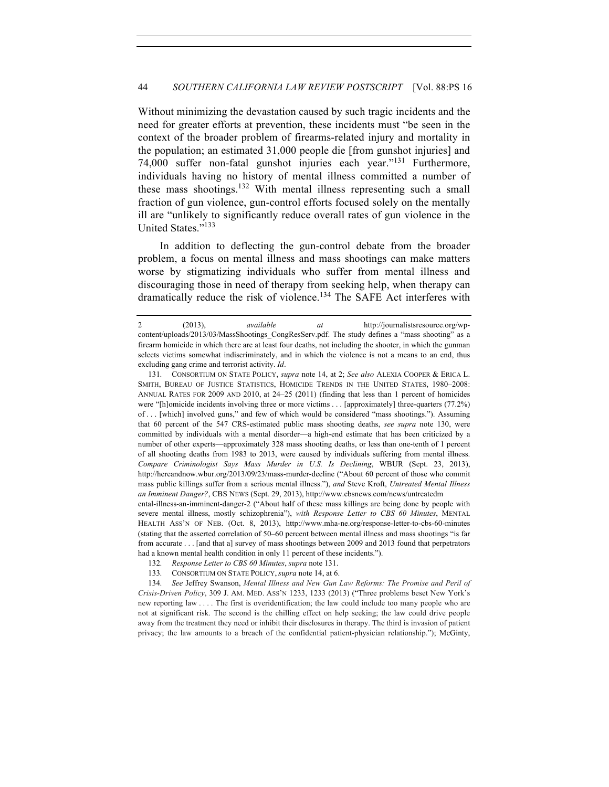Without minimizing the devastation caused by such tragic incidents and the need for greater efforts at prevention, these incidents must "be seen in the context of the broader problem of firearms-related injury and mortality in the population; an estimated 31,000 people die [from gunshot injuries] and 74,000 suffer non-fatal gunshot injuries each year."<sup>131</sup> Furthermore, individuals having no history of mental illness committed a number of these mass shootings.<sup>132</sup> With mental illness representing such a small fraction of gun violence, gun-control efforts focused solely on the mentally ill are "unlikely to significantly reduce overall rates of gun violence in the United States."<sup>133</sup>

In addition to deflecting the gun-control debate from the broader problem, a focus on mental illness and mass shootings can make matters worse by stigmatizing individuals who suffer from mental illness and discouraging those in need of therapy from seeking help, when therapy can dramatically reduce the risk of violence.<sup>134</sup> The SAFE Act interferes with

ental-illness-an-imminent-danger-2 ("About half of these mass killings are being done by people with severe mental illness, mostly schizophrenia"), *with Response Letter to CBS 60 Minutes*, MENTAL HEALTH ASS'N OF NEB. (Oct. 8, 2013), http://www.mha-ne.org/response-letter-to-cbs-60-minutes (stating that the asserted correlation of 50–60 percent between mental illness and mass shootings "is far from accurate . . . [and that a] survey of mass shootings between 2009 and 2013 found that perpetrators had a known mental health condition in only 11 percent of these incidents.").

<sup>2 (2013),</sup> *available at* http://journalistsresource.org/wpcontent/uploads/2013/03/MassShootings\_CongResServ.pdf. The study defines a "mass shooting" as a firearm homicide in which there are at least four deaths, not including the shooter, in which the gunman selects victims somewhat indiscriminately, and in which the violence is not a means to an end, thus excluding gang crime and terrorist activity. *Id*.

<sup>131.</sup> CONSORTIUM ON STATE POLICY, *supra* note 14, at 2; *See also* ALEXIA COOPER & ERICA L. SMITH, BUREAU OF JUSTICE STATISTICS, HOMICIDE TRENDS IN THE UNITED STATES, 1980–2008: ANNUAL RATES FOR 2009 AND 2010, at 24–25 (2011) (finding that less than 1 percent of homicides were "[h]omicide incidents involving three or more victims . . . [approximately] three-quarters (77.2%) of . . . [which] involved guns," and few of which would be considered "mass shootings."). Assuming that 60 percent of the 547 CRS-estimated public mass shooting deaths, *see supra* note 130, were committed by individuals with a mental disorder—a high-end estimate that has been criticized by a number of other experts—approximately 328 mass shooting deaths, or less than one-tenth of 1 percent of all shooting deaths from 1983 to 2013, were caused by individuals suffering from mental illness. *Compare Criminologist Says Mass Murder in U.S. Is Declining*, WBUR (Sept. 23, 2013), http://hereandnow.wbur.org/2013/09/23/mass-murder-decline ("About 60 percent of those who commit mass public killings suffer from a serious mental illness."), *and* Steve Kroft, *Untreated Mental Illness an Imminent Danger?*, CBS NEWS (Sept. 29, 2013), http://www.cbsnews.com/news/untreatedm

<sup>132.</sup> *Response Letter to CBS 60 Minutes*, *supra* note 131.

<sup>133.</sup> CONSORTIUM ON STATE POLICY, *supra* note 14, at 6.

<sup>134.</sup> *See* Jeffrey Swanson, *Mental Illness and New Gun Law Reforms: The Promise and Peril of Crisis-Driven Policy*, 309 J. AM. MED. ASS'N 1233, 1233 (2013) ("Three problems beset New York's new reporting law . . . . The first is overidentification; the law could include too many people who are not at significant risk. The second is the chilling effect on help seeking; the law could drive people away from the treatment they need or inhibit their disclosures in therapy. The third is invasion of patient privacy; the law amounts to a breach of the confidential patient-physician relationship."); McGinty,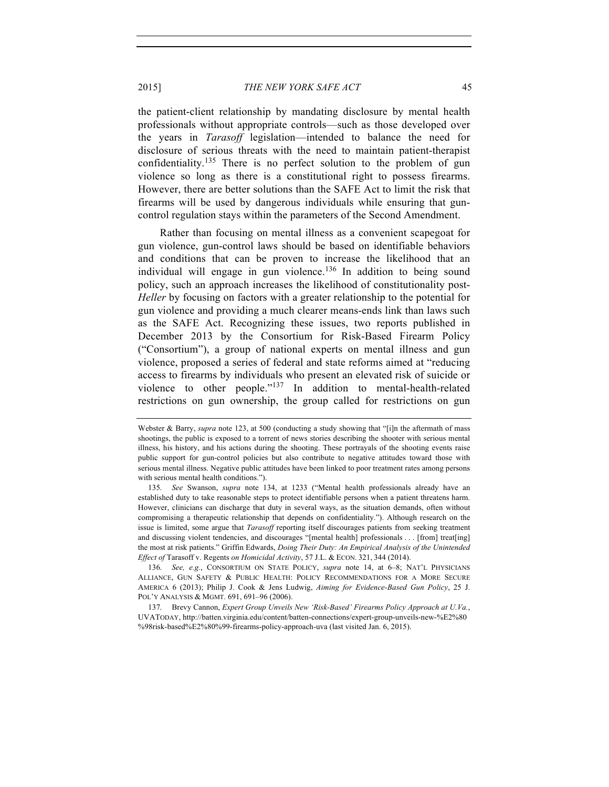the patient-client relationship by mandating disclosure by mental health professionals without appropriate controls—such as those developed over the years in *Tarasoff* legislation—intended to balance the need for disclosure of serious threats with the need to maintain patient-therapist confidentiality.<sup>135</sup> There is no perfect solution to the problem of gun violence so long as there is a constitutional right to possess firearms. However, there are better solutions than the SAFE Act to limit the risk that firearms will be used by dangerous individuals while ensuring that guncontrol regulation stays within the parameters of the Second Amendment.

Rather than focusing on mental illness as a convenient scapegoat for gun violence, gun-control laws should be based on identifiable behaviors and conditions that can be proven to increase the likelihood that an individual will engage in gun violence.<sup>136</sup> In addition to being sound policy, such an approach increases the likelihood of constitutionality post-*Heller* by focusing on factors with a greater relationship to the potential for gun violence and providing a much clearer means-ends link than laws such as the SAFE Act. Recognizing these issues, two reports published in December 2013 by the Consortium for Risk-Based Firearm Policy ("Consortium"), a group of national experts on mental illness and gun violence, proposed a series of federal and state reforms aimed at "reducing access to firearms by individuals who present an elevated risk of suicide or violence to other people."<sup>137</sup> In addition to mental-health-related restrictions on gun ownership, the group called for restrictions on gun

Webster & Barry, *supra* note 123, at 500 (conducting a study showing that "[i]n the aftermath of mass shootings, the public is exposed to a torrent of news stories describing the shooter with serious mental illness, his history, and his actions during the shooting. These portrayals of the shooting events raise public support for gun-control policies but also contribute to negative attitudes toward those with serious mental illness. Negative public attitudes have been linked to poor treatment rates among persons with serious mental health conditions.").

<sup>135.</sup> *See* Swanson, *supra* note 134, at 1233 ("Mental health professionals already have an established duty to take reasonable steps to protect identifiable persons when a patient threatens harm. However, clinicians can discharge that duty in several ways, as the situation demands, often without compromising a therapeutic relationship that depends on confidentiality."). Although research on the issue is limited, some argue that *Tarasoff* reporting itself discourages patients from seeking treatment and discussing violent tendencies, and discourages "[mental health] professionals . . . [from] treat[ing] the most at risk patients." Griffin Edwards, *Doing Their Duty: An Empirical Analysis of the Unintended Effect of* Tarasoff v. Regents *on Homicidal Activity*, 57 J.L. & ECON. 321, 344 (2014).

<sup>136.</sup> *See, e.g.*, CONSORTIUM ON STATE POLICY, *supra* note 14, at 6–8; NAT'L PHYSICIANS ALLIANCE, GUN SAFETY & PUBLIC HEALTH: POLICY RECOMMENDATIONS FOR A MORE SECURE AMERICA 6 (2013); Philip J. Cook & Jens Ludwig, *Aiming for Evidence-Based Gun Policy*, 25 J. POL'Y ANALYSIS & MGMT. 691, 691–96 (2006).

<sup>137.</sup> Brevy Cannon, *Expert Group Unveils New 'Risk-Based' Firearms Policy Approach at U.Va.*, UVATODAY, http://batten.virginia.edu/content/batten-connections/expert-group-unveils-new-%E2%80 %98risk-based%E2%80%99-firearms-policy-approach-uva (last visited Jan. 6, 2015).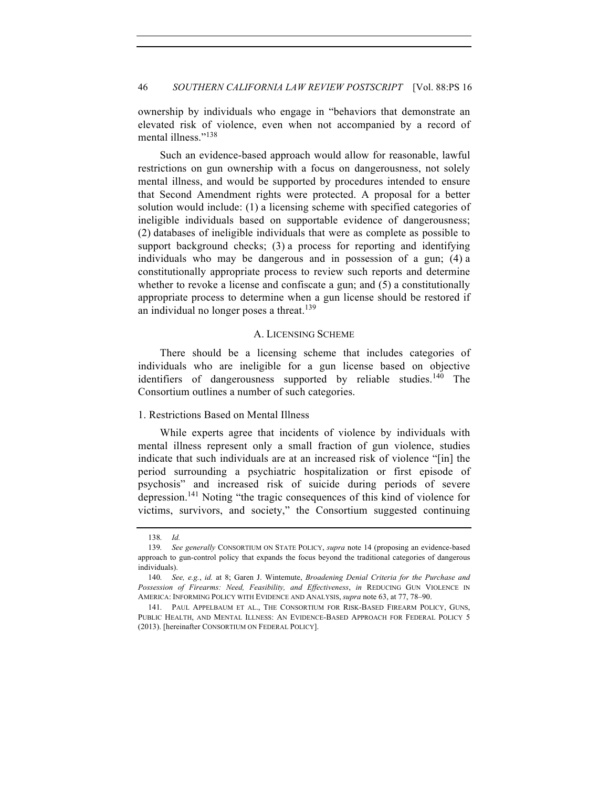ownership by individuals who engage in "behaviors that demonstrate an elevated risk of violence, even when not accompanied by a record of mental illness."<sup>138</sup>

Such an evidence-based approach would allow for reasonable, lawful restrictions on gun ownership with a focus on dangerousness, not solely mental illness, and would be supported by procedures intended to ensure that Second Amendment rights were protected. A proposal for a better solution would include: (1) a licensing scheme with specified categories of ineligible individuals based on supportable evidence of dangerousness; (2) databases of ineligible individuals that were as complete as possible to support background checks; (3) a process for reporting and identifying individuals who may be dangerous and in possession of a gun; (4) a constitutionally appropriate process to review such reports and determine whether to revoke a license and confiscate a gun; and  $(5)$  a constitutionally appropriate process to determine when a gun license should be restored if an individual no longer poses a threat.<sup>139</sup>

#### A. LICENSING SCHEME

There should be a licensing scheme that includes categories of individuals who are ineligible for a gun license based on objective identifiers of dangerousness supported by reliable studies.<sup>140</sup> The Consortium outlines a number of such categories.

#### 1. Restrictions Based on Mental Illness

While experts agree that incidents of violence by individuals with mental illness represent only a small fraction of gun violence, studies indicate that such individuals are at an increased risk of violence "[in] the period surrounding a psychiatric hospitalization or first episode of psychosis" and increased risk of suicide during periods of severe depression.141 Noting "the tragic consequences of this kind of violence for victims, survivors, and society," the Consortium suggested continuing

<sup>138.</sup> *Id.*

<sup>139.</sup> *See generally* CONSORTIUM ON STATE POLICY, *supra* note 14 (proposing an evidence-based approach to gun-control policy that expands the focus beyond the traditional categories of dangerous individuals).

<sup>140.</sup> *See, e.g.*, *id.* at 8; Garen J. Wintemute, *Broadening Denial Criteria for the Purchase and Possession of Firearms: Need, Feasibility, and Effectiveness*, *in* REDUCING GUN VIOLENCE IN AMERICA: INFORMING POLICY WITH EVIDENCE AND ANALYSIS, *supra* note 63, at 77, 78–90.

<sup>141.</sup> PAUL APPELBAUM ET AL., THE CONSORTIUM FOR RISK-BASED FIREARM POLICY, GUNS, PUBLIC HEALTH, AND MENTAL ILLNESS: AN EVIDENCE-BASED APPROACH FOR FEDERAL POLICY 5 (2013). [hereinafter CONSORTIUM ON FEDERAL POLICY].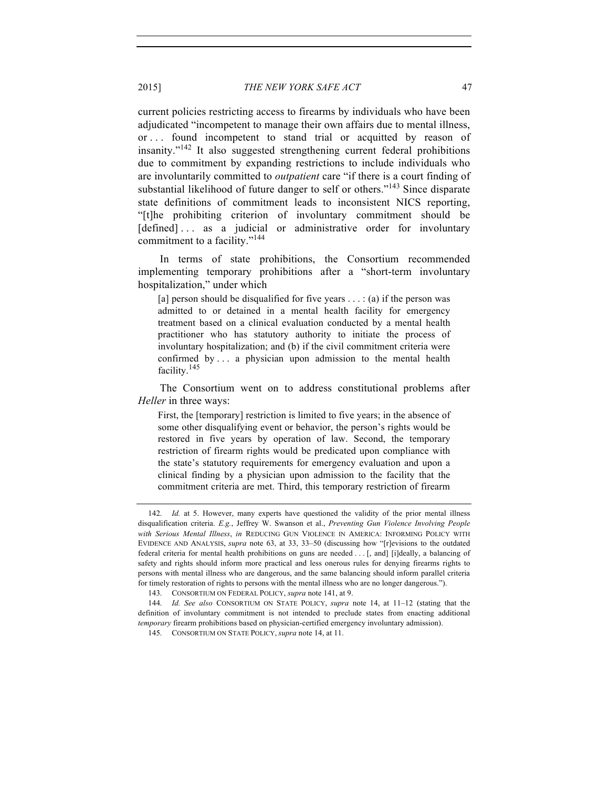current policies restricting access to firearms by individuals who have been adjudicated "incompetent to manage their own affairs due to mental illness, or . . . found incompetent to stand trial or acquitted by reason of insanity."<sup>142</sup> It also suggested strengthening current federal prohibitions due to commitment by expanding restrictions to include individuals who are involuntarily committed to *outpatient* care "if there is a court finding of substantial likelihood of future danger to self or others."<sup>143</sup> Since disparate state definitions of commitment leads to inconsistent NICS reporting, "[t]he prohibiting criterion of involuntary commitment should be [defined]... as a judicial or administrative order for involuntary commitment to a facility."<sup>144</sup>

In terms of state prohibitions, the Consortium recommended implementing temporary prohibitions after a "short-term involuntary hospitalization," under which

[a] person should be disqualified for five years  $\dots$  : (a) if the person was admitted to or detained in a mental health facility for emergency treatment based on a clinical evaluation conducted by a mental health practitioner who has statutory authority to initiate the process of involuntary hospitalization; and (b) if the civil commitment criteria were confirmed by . . . a physician upon admission to the mental health facility.<sup>145</sup>

The Consortium went on to address constitutional problems after *Heller* in three ways:

First, the [temporary] restriction is limited to five years; in the absence of some other disqualifying event or behavior, the person's rights would be restored in five years by operation of law. Second, the temporary restriction of firearm rights would be predicated upon compliance with the state's statutory requirements for emergency evaluation and upon a clinical finding by a physician upon admission to the facility that the commitment criteria are met. Third, this temporary restriction of firearm

<sup>142.</sup> *Id.* at 5. However, many experts have questioned the validity of the prior mental illness disqualification criteria. *E.g.*, Jeffrey W. Swanson et al., *Preventing Gun Violence Involving People with Serious Mental Illness*, *in* REDUCING GUN VIOLENCE IN AMERICA: INFORMING POLICY WITH EVIDENCE AND ANALYSIS, *supra* note 63, at 33, 33–50 (discussing how "[r]evisions to the outdated federal criteria for mental health prohibitions on guns are needed . . . [, and] [i]deally, a balancing of safety and rights should inform more practical and less onerous rules for denying firearms rights to persons with mental illness who are dangerous, and the same balancing should inform parallel criteria for timely restoration of rights to persons with the mental illness who are no longer dangerous.").

<sup>143.</sup> CONSORTIUM ON FEDERAL POLICY, *supra* note 141, at 9.

<sup>144.</sup> *Id. See also* CONSORTIUM ON STATE POLICY, *supra* note 14, at 11–12 (stating that the definition of involuntary commitment is not intended to preclude states from enacting additional *temporary* firearm prohibitions based on physician-certified emergency involuntary admission).

<sup>145.</sup> CONSORTIUM ON STATE POLICY, *supra* note 14, at 11.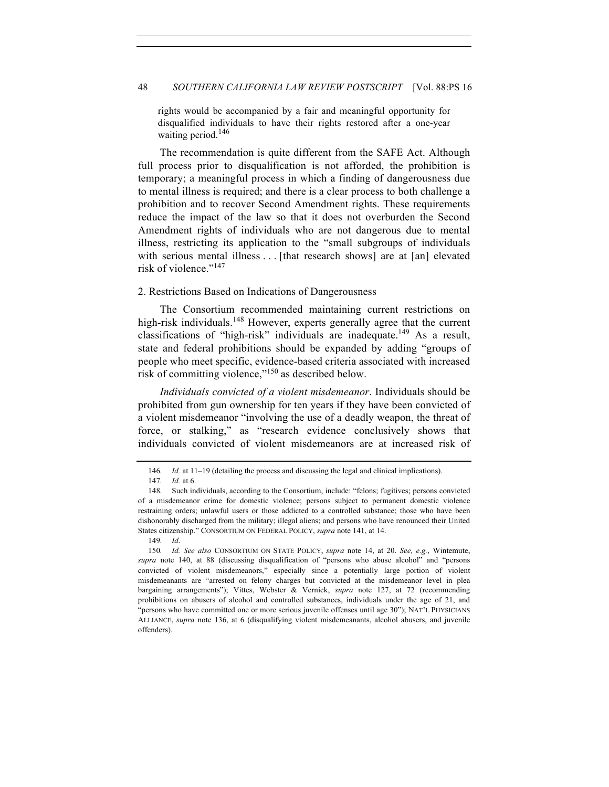rights would be accompanied by a fair and meaningful opportunity for disqualified individuals to have their rights restored after a one-year waiting period. $146$ 

The recommendation is quite different from the SAFE Act. Although full process prior to disqualification is not afforded, the prohibition is temporary; a meaningful process in which a finding of dangerousness due to mental illness is required; and there is a clear process to both challenge a prohibition and to recover Second Amendment rights. These requirements reduce the impact of the law so that it does not overburden the Second Amendment rights of individuals who are not dangerous due to mental illness, restricting its application to the "small subgroups of individuals with serious mental illness . . . [that research shows] are at [an] elevated risk of violence."<sup>147</sup>

## 2. Restrictions Based on Indications of Dangerousness

The Consortium recommended maintaining current restrictions on high-risk individuals.<sup>148</sup> However, experts generally agree that the current classifications of "high-risk" individuals are inadequate.<sup>149</sup> As a result, state and federal prohibitions should be expanded by adding "groups of people who meet specific, evidence-based criteria associated with increased risk of committing violence,"<sup>150</sup> as described below.

*Individuals convicted of a violent misdemeanor*. Individuals should be prohibited from gun ownership for ten years if they have been convicted of a violent misdemeanor "involving the use of a deadly weapon, the threat of force, or stalking," as "research evidence conclusively shows that individuals convicted of violent misdemeanors are at increased risk of

149. *Id*.

<sup>146.</sup> *Id.* at 11-19 (detailing the process and discussing the legal and clinical implications).

<sup>147.</sup> *Id.* at 6.

<sup>148.</sup> Such individuals, according to the Consortium, include: "felons; fugitives; persons convicted of a misdemeanor crime for domestic violence; persons subject to permanent domestic violence restraining orders; unlawful users or those addicted to a controlled substance; those who have been dishonorably discharged from the military; illegal aliens; and persons who have renounced their United States citizenship." CONSORTIUM ON FEDERAL POLICY, *supra* note 141, at 14.

<sup>150.</sup> *Id. See also* CONSORTIUM ON STATE POLICY, *supra* note 14, at 20. *See, e.g.*, Wintemute, *supra* note 140, at 88 (discussing disqualification of "persons who abuse alcohol" and "persons convicted of violent misdemeanors," especially since a potentially large portion of violent misdemeanants are "arrested on felony charges but convicted at the misdemeanor level in plea bargaining arrangements"); Vittes, Webster & Vernick, *supra* note 127, at 72 (recommending prohibitions on abusers of alcohol and controlled substances, individuals under the age of 21, and "persons who have committed one or more serious juvenile offenses until age 30"); NAT'L PHYSICIANS ALLIANCE, *supra* note 136, at 6 (disqualifying violent misdemeanants, alcohol abusers, and juvenile offenders).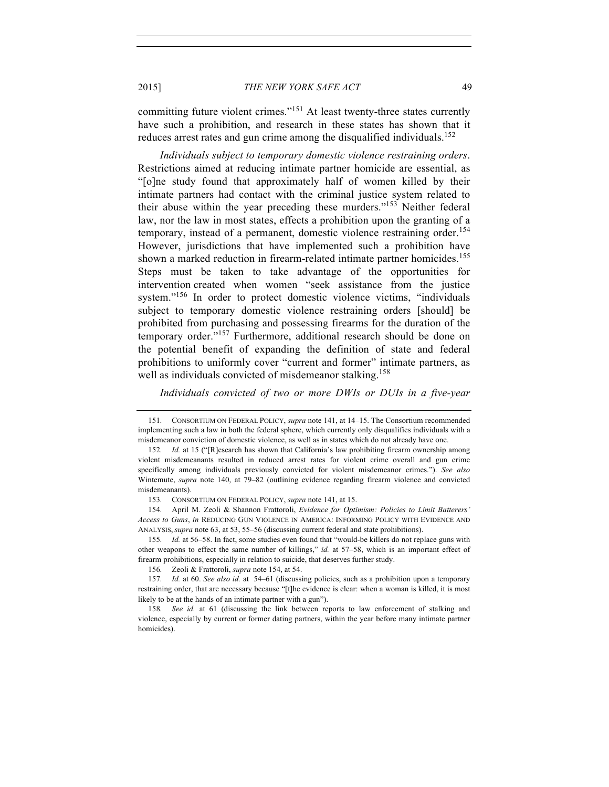committing future violent crimes."<sup>151</sup> At least twenty-three states currently have such a prohibition, and research in these states has shown that it reduces arrest rates and gun crime among the disqualified individuals.<sup>152</sup>

*Individuals subject to temporary domestic violence restraining orders*. Restrictions aimed at reducing intimate partner homicide are essential, as "[o]ne study found that approximately half of women killed by their intimate partners had contact with the criminal justice system related to their abuse within the year preceding these murders."<sup>153</sup> Neither federal law, nor the law in most states, effects a prohibition upon the granting of a temporary, instead of a permanent, domestic violence restraining order. 154 However, jurisdictions that have implemented such a prohibition have shown a marked reduction in firearm-related intimate partner homicides.<sup>155</sup> Steps must be taken to take advantage of the opportunities for intervention created when women "seek assistance from the justice system."<sup>156</sup> In order to protect domestic violence victims, "individuals" subject to temporary domestic violence restraining orders [should] be prohibited from purchasing and possessing firearms for the duration of the temporary order."<sup>157</sup> Furthermore, additional research should be done on the potential benefit of expanding the definition of state and federal prohibitions to uniformly cover "current and former" intimate partners, as well as individuals convicted of misdemeanor stalking.<sup>158</sup>

*Individuals convicted of two or more DWIs or DUIs in a five-year* 

154. April M. Zeoli & Shannon Frattoroli, *Evidence for Optimism: Policies to Limit Batterers' Access to Guns*, *in* REDUCING GUN VIOLENCE IN AMERICA: INFORMING POLICY WITH EVIDENCE AND ANALYSIS, *supra* note 63, at 53, 55–56 (discussing current federal and state prohibitions).

155. *Id.* at 56–58. In fact, some studies even found that "would-be killers do not replace guns with other weapons to effect the same number of killings," *id.* at 57–58, which is an important effect of firearm prohibitions, especially in relation to suicide, that deserves further study.

156. Zeoli & Frattoroli, *supra* note 154, at 54.

157. *Id.* at 60. *See also id.* at 54–61 (discussing policies, such as a prohibition upon a temporary restraining order, that are necessary because "[t]he evidence is clear: when a woman is killed, it is most likely to be at the hands of an intimate partner with a gun").

158. *See id.* at 61 (discussing the link between reports to law enforcement of stalking and violence, especially by current or former dating partners, within the year before many intimate partner homicides).

<sup>151.</sup> CONSORTIUM ON FEDERAL POLICY, *supra* note 141, at 14–15. The Consortium recommended implementing such a law in both the federal sphere, which currently only disqualifies individuals with a misdemeanor conviction of domestic violence, as well as in states which do not already have one.

<sup>152.</sup> *Id.* at 15 ("[R]esearch has shown that California's law prohibiting firearm ownership among violent misdemeanants resulted in reduced arrest rates for violent crime overall and gun crime specifically among individuals previously convicted for violent misdemeanor crimes."). *See also* Wintemute, *supra* note 140, at 79–82 (outlining evidence regarding firearm violence and convicted misdemeanants).

<sup>153.</sup> CONSORTIUM ON FEDERAL POLICY, *supra* note 141, at 15.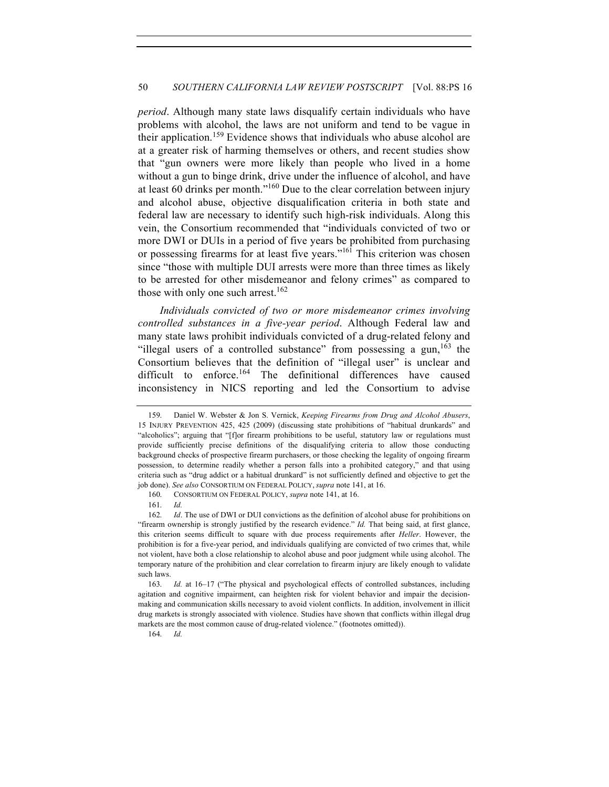*period*. Although many state laws disqualify certain individuals who have problems with alcohol, the laws are not uniform and tend to be vague in their application.<sup>159</sup> Evidence shows that individuals who abuse alcohol are at a greater risk of harming themselves or others, and recent studies show that "gun owners were more likely than people who lived in a home without a gun to binge drink, drive under the influence of alcohol, and have at least 60 drinks per month."<sup>160</sup> Due to the clear correlation between injury and alcohol abuse, objective disqualification criteria in both state and federal law are necessary to identify such high-risk individuals. Along this vein, the Consortium recommended that "individuals convicted of two or more DWI or DUIs in a period of five years be prohibited from purchasing or possessing firearms for at least five years."<sup>161</sup> This criterion was chosen since "those with multiple DUI arrests were more than three times as likely to be arrested for other misdemeanor and felony crimes" as compared to those with only one such arrest.<sup>162</sup>

*Individuals convicted of two or more misdemeanor crimes involving controlled substances in a five-year period*. Although Federal law and many state laws prohibit individuals convicted of a drug-related felony and "illegal users of a controlled substance" from possessing a gun,  $163$  the Consortium believes that the definition of "illegal user" is unclear and difficult to enforce.<sup>164</sup> The definitional differences have caused inconsistency in NICS reporting and led the Consortium to advise

164. *Id.* 

<sup>159.</sup> Daniel W. Webster & Jon S. Vernick, *Keeping Firearms from Drug and Alcohol Abusers*, 15 INJURY PREVENTION 425, 425 (2009) (discussing state prohibitions of "habitual drunkards" and "alcoholics"; arguing that "[f]or firearm prohibitions to be useful, statutory law or regulations must provide sufficiently precise definitions of the disqualifying criteria to allow those conducting background checks of prospective firearm purchasers, or those checking the legality of ongoing firearm possession, to determine readily whether a person falls into a prohibited category," and that using criteria such as "drug addict or a habitual drunkard" is not sufficiently defined and objective to get the job done). *See also* CONSORTIUM ON FEDERAL POLICY, *supra* note 141, at 16.

<sup>160.</sup> CONSORTIUM ON FEDERAL POLICY, *supra* note 141, at 16.

<sup>161.</sup> *Id.*

<sup>162.</sup> *Id*. The use of DWI or DUI convictions as the definition of alcohol abuse for prohibitions on "firearm ownership is strongly justified by the research evidence." *Id.* That being said, at first glance, this criterion seems difficult to square with due process requirements after *Heller*. However, the prohibition is for a five-year period, and individuals qualifying are convicted of two crimes that, while not violent, have both a close relationship to alcohol abuse and poor judgment while using alcohol. The temporary nature of the prohibition and clear correlation to firearm injury are likely enough to validate such laws.

<sup>163.</sup> *Id.* at 16–17 ("The physical and psychological effects of controlled substances, including agitation and cognitive impairment, can heighten risk for violent behavior and impair the decisionmaking and communication skills necessary to avoid violent conflicts. In addition, involvement in illicit drug markets is strongly associated with violence. Studies have shown that conflicts within illegal drug markets are the most common cause of drug-related violence." (footnotes omitted)).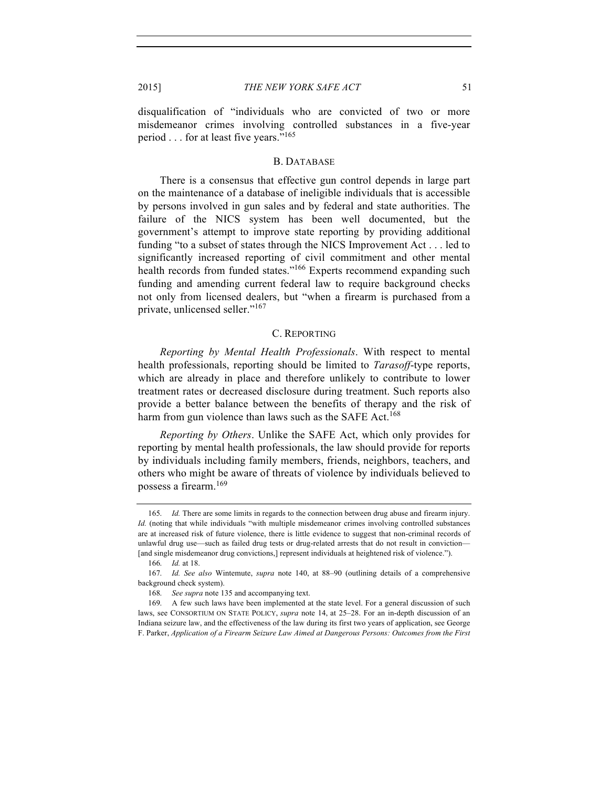disqualification of "individuals who are convicted of two or more misdemeanor crimes involving controlled substances in a five-year period . . . for at least five years."165

#### B. DATABASE

There is a consensus that effective gun control depends in large part on the maintenance of a database of ineligible individuals that is accessible by persons involved in gun sales and by federal and state authorities. The failure of the NICS system has been well documented, but the government's attempt to improve state reporting by providing additional funding "to a subset of states through the NICS Improvement Act . . . led to significantly increased reporting of civil commitment and other mental health records from funded states."<sup>166</sup> Experts recommend expanding such funding and amending current federal law to require background checks not only from licensed dealers, but "when a firearm is purchased from a private, unlicensed seller."<sup>167</sup>

#### C. REPORTING

*Reporting by Mental Health Professionals*. With respect to mental health professionals, reporting should be limited to *Tarasoff*-type reports, which are already in place and therefore unlikely to contribute to lower treatment rates or decreased disclosure during treatment. Such reports also provide a better balance between the benefits of therapy and the risk of harm from gun violence than laws such as the SAFE Act.<sup>168</sup>

*Reporting by Others*. Unlike the SAFE Act, which only provides for reporting by mental health professionals, the law should provide for reports by individuals including family members, friends, neighbors, teachers, and others who might be aware of threats of violence by individuals believed to possess a firearm.<sup>169</sup>

<sup>165.</sup> *Id.* There are some limits in regards to the connection between drug abuse and firearm injury. *Id.* (noting that while individuals "with multiple misdemeanor crimes involving controlled substances are at increased risk of future violence, there is little evidence to suggest that non-criminal records of unlawful drug use—such as failed drug tests or drug-related arrests that do not result in conviction— [and single misdemeanor drug convictions,] represent individuals at heightened risk of violence.").

<sup>166.</sup> *Id.* at 18.

<sup>167.</sup> *Id. See also* Wintemute, *supra* note 140, at 88–90 (outlining details of a comprehensive background check system).

<sup>168.</sup> *See supra* note 135 and accompanying text.

<sup>169.</sup> A few such laws have been implemented at the state level. For a general discussion of such laws, see CONSORTIUM ON STATE POLICY, *supra* note 14, at 25–28. For an in-depth discussion of an Indiana seizure law, and the effectiveness of the law during its first two years of application, see George F. Parker, *Application of a Firearm Seizure Law Aimed at Dangerous Persons: Outcomes from the First*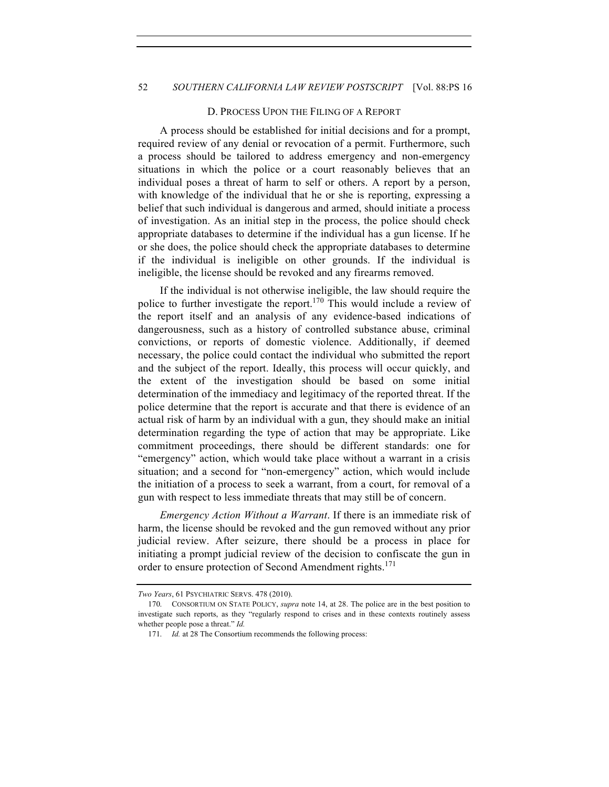#### D. PROCESS UPON THE FILING OF A REPORT

A process should be established for initial decisions and for a prompt, required review of any denial or revocation of a permit. Furthermore, such a process should be tailored to address emergency and non-emergency situations in which the police or a court reasonably believes that an individual poses a threat of harm to self or others. A report by a person, with knowledge of the individual that he or she is reporting, expressing a belief that such individual is dangerous and armed, should initiate a process of investigation. As an initial step in the process, the police should check appropriate databases to determine if the individual has a gun license. If he or she does, the police should check the appropriate databases to determine if the individual is ineligible on other grounds. If the individual is ineligible, the license should be revoked and any firearms removed.

If the individual is not otherwise ineligible, the law should require the police to further investigate the report.<sup>170</sup> This would include a review of the report itself and an analysis of any evidence-based indications of dangerousness, such as a history of controlled substance abuse, criminal convictions, or reports of domestic violence. Additionally, if deemed necessary, the police could contact the individual who submitted the report and the subject of the report. Ideally, this process will occur quickly, and the extent of the investigation should be based on some initial determination of the immediacy and legitimacy of the reported threat. If the police determine that the report is accurate and that there is evidence of an actual risk of harm by an individual with a gun, they should make an initial determination regarding the type of action that may be appropriate. Like commitment proceedings, there should be different standards: one for "emergency" action, which would take place without a warrant in a crisis situation; and a second for "non-emergency" action, which would include the initiation of a process to seek a warrant, from a court, for removal of a gun with respect to less immediate threats that may still be of concern.

*Emergency Action Without a Warrant*. If there is an immediate risk of harm, the license should be revoked and the gun removed without any prior judicial review. After seizure, there should be a process in place for initiating a prompt judicial review of the decision to confiscate the gun in order to ensure protection of Second Amendment rights.<sup>171</sup>

*Two Years*, 61 PSYCHIATRIC SERVS. 478 (2010).

<sup>170.</sup> CONSORTIUM ON STATE POLICY, *supra* note 14, at 28. The police are in the best position to investigate such reports, as they "regularly respond to crises and in these contexts routinely assess whether people pose a threat." *Id.*

<sup>171.</sup> *Id.* at 28 The Consortium recommends the following process: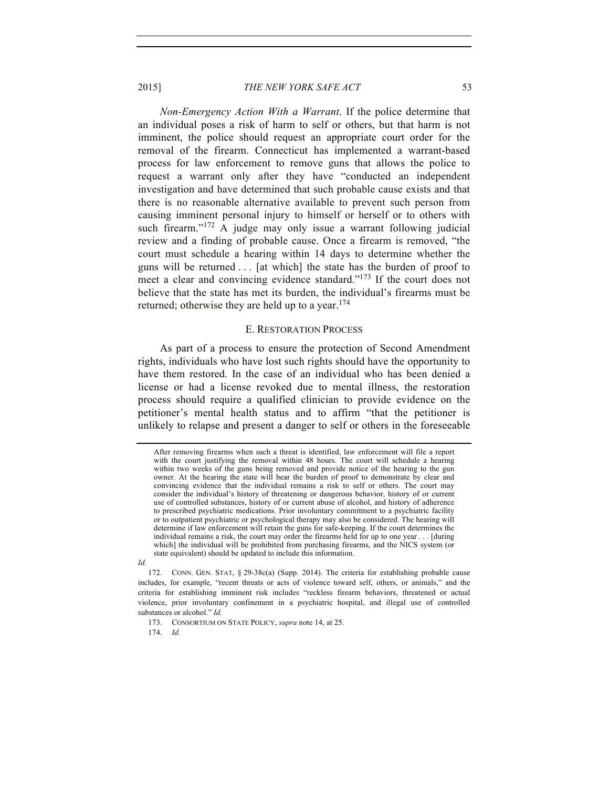*Non-Emergency Action With a Warrant*. If the police determine that an individual poses a risk of harm to self or others, but that harm is not imminent, the police should request an appropriate court order for the removal of the firearm. Connecticut has implemented a warrant-based process for law enforcement to remove guns that allows the police to request a warrant only after they have "conducted an independent investigation and have determined that such probable cause exists and that there is no reasonable alternative available to prevent such person from causing imminent personal injury to himself or herself or to others with such firearm."<sup>172</sup> A judge may only issue a warrant following judicial review and a finding of probable cause. Once a firearm is removed, "the court must schedule a hearing within 14 days to determine whether the guns will be returned . . . [at which] the state has the burden of proof to meet a clear and convincing evidence standard."<sup>173</sup> If the court does not believe that the state has met its burden, the individual's firearms must be returned; otherwise they are held up to a year.<sup>174</sup>

# E. RESTORATION PROCESS

As part of a process to ensure the protection of Second Amendment rights, individuals who have lost such rights should have the opportunity to have them restored. In the case of an individual who has been denied a license or had a license revoked due to mental illness, the restoration process should require a qualified clinician to provide evidence on the petitioner's mental health status and to affirm "that the petitioner is unlikely to relapse and present a danger to self or others in the foreseeable

*Id.*

173. CONSORTIUM ON STATE POLICY, *supra* note 14, at 25.

174. *Id.*

After removing firearms when such a threat is identified, law enforcement will file a report with the court justifying the removal within 48 hours. The court will schedule a hearing within two weeks of the guns being removed and provide notice of the hearing to the gun owner. At the hearing the state will bear the burden of proof to demonstrate by clear and convincing evidence that the individual remains a risk to self or others. The court may consider the individual's history of threatening or dangerous behavior, history of or current use of controlled substances, history of or current abuse of alcohol, and history of adherence to prescribed psychiatric medications. Prior involuntary commitment to a psychiatric facility or to outpatient psychiatric or psychological therapy may also be considered. The hearing will determine if law enforcement will retain the guns for safe-keeping. If the court determines the individual remains a risk, the court may order the firearms held for up to one year . . . [during which] the individual will be prohibited from purchasing firearms, and the NICS system (or state equivalent) should be updated to include this information.

<sup>172.</sup> CONN. GEN. STAT, § 29-38c(a) (Supp. 2014). The criteria for establishing probable cause includes, for example, "recent threats or acts of violence toward self, others, or animals," and the criteria for establishing imminent risk includes "reckless firearm behaviors, threatened or actual violence, prior involuntary confinement in a psychiatric hospital, and illegal use of controlled substances or alcohol." *Id.*